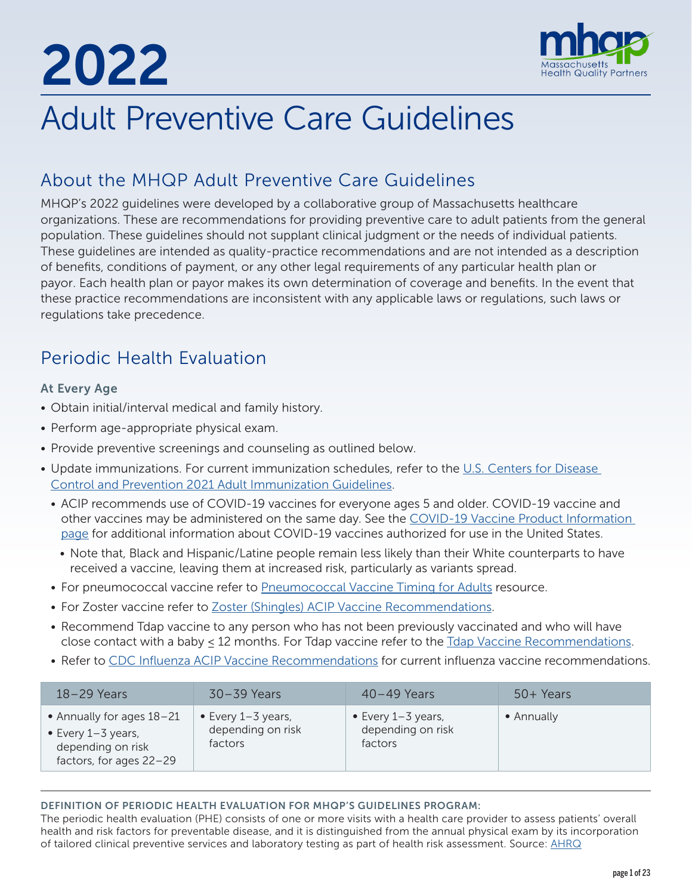# 2022



# Adult Preventive Care Guidelines

# About the MHQP Adult Preventive Care Guidelines

MHQP's 2022 guidelines were developed by a collaborative group of Massachusetts healthcare organizations. These are recommendations for providing preventive care to adult patients from the general population. These guidelines should not supplant clinical judgment or the needs of individual patients. These guidelines are intended as quality-practice recommendations and are not intended as a description of benefits, conditions of payment, or any other legal requirements of any particular health plan or payor. Each health plan or payor makes its own determination of coverage and benefits. In the event that these practice recommendations are inconsistent with any applicable laws or regulations, such laws or regulations take precedence.

# Periodic Health Evaluation

# At Every Age

- Obtain initial/interval medical and family history.
- Perform age-appropriate physical exam.
- Provide preventive screenings and counseling as outlined below.
- Update immunizations. For current immunization schedules, refer to the [U.S. Centers for Disease](https://www.cdc.gov/vaccines/schedules/hcp/imz/adult.html?CDC_AA_refVal=https%3A%2F%2Fwww.cdc.gov%2Fvaccines%2Fschedules%2Fhcp%2Fadult.html)  [Control and Prevention 2021 Adult Immunization Guidelines.](https://www.cdc.gov/vaccines/schedules/hcp/imz/adult.html?CDC_AA_refVal=https%3A%2F%2Fwww.cdc.gov%2Fvaccines%2Fschedules%2Fhcp%2Fadult.html)
	- ACIP recommends use of COVID-19 vaccines for everyone ages 5 and older. COVID-19 vaccine and other vaccines may be administered on the same day. See the [COVID-19 Vaccine Product Information](https://www.cdc.gov/vaccines/covid-19/info-by-product/index.html)  [page](https://www.cdc.gov/vaccines/covid-19/info-by-product/index.html) for additional information about COVID-19 vaccines authorized for use in the United States.
		- Note that, Black and Hispanic/Latine people remain less likely than their White counterparts to have received a vaccine, leaving them at increased risk, particularly as variants spread.
	- For pneumococcal vaccine refer to [Pneumococcal Vaccine Timing for Adults](https://www.cdc.gov/vaccines/vpd/pneumo/downloads/pneumo-vaccine-timing.pdf) resource.
	- For Zoster vaccine refer to [Zoster \(Shingles\) ACIP Vaccine Recommendations](https://www.cdc.gov/vaccines/hcp/acip-recs/vacc-specific/shingles.html).
	- Recommend Tdap vaccine to any person who has not been previously vaccinated and who will have close contact with a baby ≤ 12 months. For Tdap vaccine refer to the [Tdap Vaccine Recommendations.](https://www.cdc.gov/vaccines/hcp/acip-recs/vacc-specific/dtap.html)
	- Refer to [CDC Influenza ACIP Vaccine Recommendations](https://www.cdc.gov/vaccines/hcp/acip-recs/vacc-specific/flu.html) for current influenza vaccine recommendations.

| $18 - 29$ Years                                                                                     | $30 - 39$ Years                                      | $40-49$ Years                                        | $50+$ Years |
|-----------------------------------------------------------------------------------------------------|------------------------------------------------------|------------------------------------------------------|-------------|
| • Annually for ages 18-21<br>• Every $1 - 3$ years,<br>depending on risk<br>factors, for ages 22-29 | • Every $1-3$ years,<br>depending on risk<br>factors | • Every $1-3$ years,<br>depending on risk<br>factors | • Annually  |

# DEFINITION OF PERIODIC HEALTH EVALUATION FOR MHQP'S GUIDELINES PROGRAM:

The periodic health evaluation (PHE) consists of one or more visits with a health care provider to assess patients' overall health and risk factors for preventable disease, and it is distinguished from the annual physical exam by its incorporation of tailored clinical preventive services and laboratory testing as part of health risk assessment. Source: [AHRQ](https://archive.ahrq.gov/downloads/pub/evidence/pdf/phe/phe.pdf)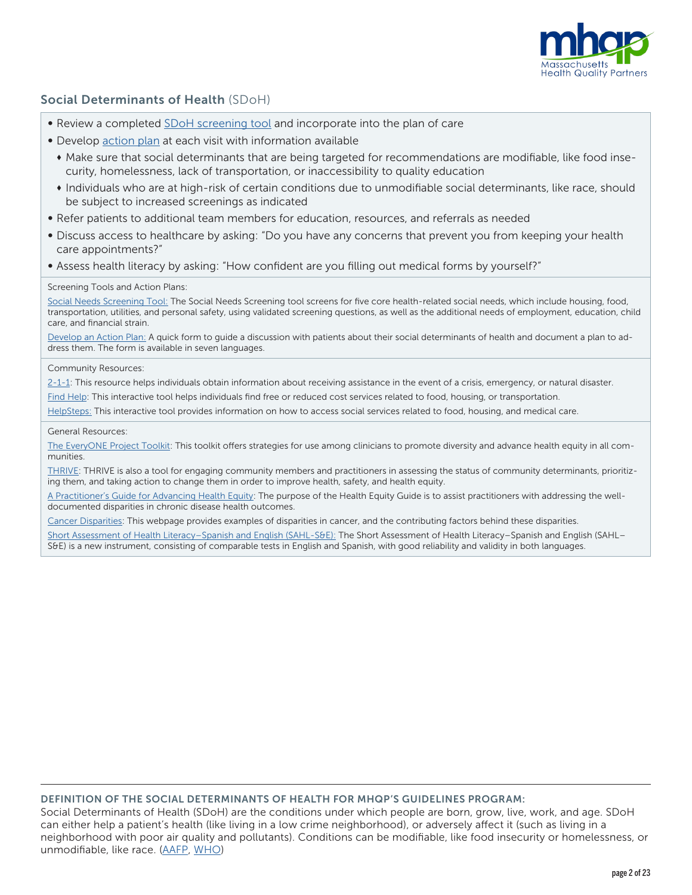

# Social Determinants of Health (SDoH)

- Review a completed **SDoH** screening tool and incorporate into the plan of care
- Develop [action plan](https://www.aafp.org/dam/AAFP/documents/patient_care/everyone_project/action-plan.pdf) at each visit with information available
	- Make sure that social determinants that are being targeted for recommendations are modifiable, like food insecurity, homelessness, lack of transportation, or inaccessibility to quality education
	- <sup>t</sup> Individuals who are at high-risk of certain conditions due to unmodifiable social determinants, like race, should be subject to increased screenings as indicated
- Refer patients to additional team members for education, resources, and referrals as needed
- Discuss access to healthcare by asking: "Do you have any concerns that prevent you from keeping your health care appointments?"
- Assess health literacy by asking: "How confident are you filling out medical forms by yourself?"

#### Screening Tools and Action Plans:

[Social Needs Screening Tool](https://www.aafp.org/dam/AAFP/documents/patient_care/everyone_project/hops19-physician-form-sdoh.pdf): The Social Needs Screening tool screens for five core health-related social needs, which include housing, food, transportation, utilities, and personal safety, using validated screening questions, as well as the additional needs of employment, education, child care, and financial strain.

[Develop an Action Plan:](https://www.aafp.org/dam/AAFP/documents/patient_care/everyone_project/action-plan.pdf) A quick form to guide a discussion with patients about their social determinants of health and document a plan to address them. The form is available in seven languages.

#### Community Resources:

[2-1-1:](https://www.211.org/) This resource helps individuals obtain information about receiving assistance in the event of a crisis, emergency, or natural disaster.

[Find Help:](https://www.findhelp.org/) This interactive tool helps individuals find free or reduced cost services related to food, housing, or transportation.

[HelpSteps:](https://www.helpsteps.com/#/) This interactive tool provides information on how to access social services related to food, housing, and medical care.

#### General Resources:

[The EveryONE Project Toolkit](https://www.aafp.org/family-physician/patient-care/the-everyone-project/toolkit.html): This toolkit offers strategies for use among clinicians to promote diversity and advance health equity in all communities.

[THRIVE:](https://www.preventioninstitute.org/tools/thrive-tool-health-resilience-vulnerable-environments) THRIVE is also a tool for engaging community members and practitioners in assessing the status of community determinants, prioritizing them, and taking action to change them in order to improve health, safety, and health equity.

[A Practitioner's Guide for Advancing Health Equity](https://www.cdc.gov/nccdphp/dch/pdf/HealthEquityGuide.pdf): The purpose of the Health Equity Guide is to assist practitioners with addressing the welldocumented disparities in chronic disease health outcomes.

[Cancer Disparities](https://www.cancer.gov/about-cancer/understanding/disparities): This webpage provides examples of disparities in cancer, and the contributing factors behind these disparities.

[Short Assessment of Health Literacy–Spanish and English \(SAHL-S&E\)](https://www.ahrq.gov/health-literacy/research/tools/index.html): The Short Assessment of Health Literacy–Spanish and English (SAHL– S&E) is a new instrument, consisting of comparable tests in English and Spanish, with good reliability and validity in both languages.

#### DEFINITION OF THE SOCIAL DETERMINANTS OF HEALTH FOR MHQP'S GUIDELINES PROGRAM:

Social Determinants of Health (SDoH) are the conditions under which people are born, grow, live, work, and age. SDoH can either help a patient's health (like living in a low crime neighborhood), or adversely affect it (such as living in a neighborhood with poor air quality and pollutants). Conditions can be modifiable, like food insecurity or homelessness, or unmodifiable, like race. ([AAFP](https://www.aafp.org/home.html), [WHO\)](https://www.who.int/)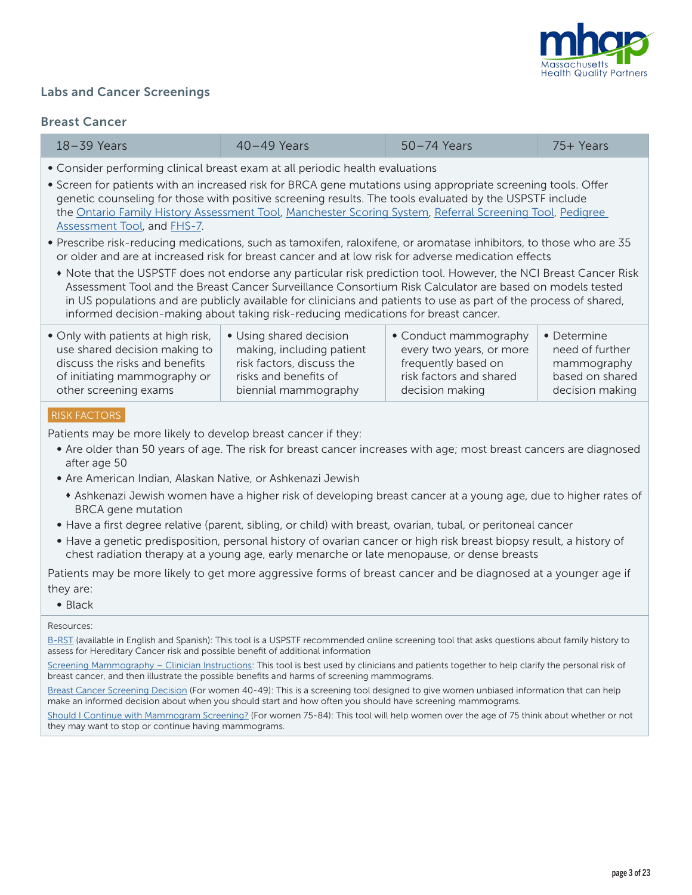

# Labs and Cancer Screenings

# Breast Cancer

| $18 - 39$ Years                                                                                                                                                                                                                                                                                                                                                                                                                                                                                                                                                                                                                                                                                                                                                                                                                                                                                                                                                                                                                                                                                                              | $40 - 49$ Years                                                                                                                    | $50 - 74$ Years                                                                                                        | 75+ Years                                                                           |  |
|------------------------------------------------------------------------------------------------------------------------------------------------------------------------------------------------------------------------------------------------------------------------------------------------------------------------------------------------------------------------------------------------------------------------------------------------------------------------------------------------------------------------------------------------------------------------------------------------------------------------------------------------------------------------------------------------------------------------------------------------------------------------------------------------------------------------------------------------------------------------------------------------------------------------------------------------------------------------------------------------------------------------------------------------------------------------------------------------------------------------------|------------------------------------------------------------------------------------------------------------------------------------|------------------------------------------------------------------------------------------------------------------------|-------------------------------------------------------------------------------------|--|
| • Consider performing clinical breast exam at all periodic health evaluations<br>• Screen for patients with an increased risk for BRCA gene mutations using appropriate screening tools. Offer<br>genetic counseling for those with positive screening results. The tools evaluated by the USPSTF include<br>the Ontario Family History Assessment Tool, Manchester Scoring System, Referral Screening Tool, Pedigree<br>Assessment Tool, and FHS-7.<br>• Prescribe risk-reducing medications, such as tamoxifen, raloxifene, or aromatase inhibitors, to those who are 35<br>or older and are at increased risk for breast cancer and at low risk for adverse medication effects<br>• Note that the USPSTF does not endorse any particular risk prediction tool. However, the NCI Breast Cancer Risk<br>Assessment Tool and the Breast Cancer Surveillance Consortium Risk Calculator are based on models tested<br>in US populations and are publicly available for clinicians and patients to use as part of the process of shared,<br>informed decision-making about taking risk-reducing medications for breast cancer. |                                                                                                                                    |                                                                                                                        |                                                                                     |  |
| • Only with patients at high risk,<br>use shared decision making to<br>discuss the risks and benefits<br>of initiating mammography or<br>other screening exams                                                                                                                                                                                                                                                                                                                                                                                                                                                                                                                                                                                                                                                                                                                                                                                                                                                                                                                                                               | • Using shared decision<br>making, including patient<br>risk factors, discuss the<br>risks and benefits of<br>biennial mammography | • Conduct mammography<br>every two years, or more<br>frequently based on<br>risk factors and shared<br>decision making | • Determine<br>need of further<br>mammography<br>based on shared<br>decision making |  |
| <b>RISK FACTORS</b><br>Patients may be more likely to develop breast cancer if they:<br>• Are older than 50 years of age. The risk for breast cancer increases with age; most breast cancers are diagnosed<br>after age 50<br>• Are American Indian, Alaskan Native, or Ashkenazi Jewish<br>• Ashkenazi Jewish women have a higher risk of developing breast cancer at a young age, due to higher rates of<br><b>BRCA</b> gene mutation<br>• Have a first degree relative (parent, sibling, or child) with breast, ovarian, tubal, or peritoneal cancer<br>• Have a genetic predisposition, personal history of ovarian cancer or high risk breast biopsy result, a history of<br>chest radiation therapy at a young age, early menarche or late menopause, or dense breasts<br>Patients may be more likely to get more aggressive forms of breast cancer and be diagnosed at a younger age if                                                                                                                                                                                                                               |                                                                                                                                    |                                                                                                                        |                                                                                     |  |
| they are:<br>$\bullet$ Black                                                                                                                                                                                                                                                                                                                                                                                                                                                                                                                                                                                                                                                                                                                                                                                                                                                                                                                                                                                                                                                                                                 |                                                                                                                                    |                                                                                                                        |                                                                                     |  |
| Resources:<br>B-RST (available in English and Spanish): This tool is a USPSTF recommended online screening tool that asks questions about family history to<br>assess for Hereditary Cancer risk and possible benefit of additional information<br>Screening Mammography – Clinician Instructions: This tool is best used by clinicians and patients together to help clarify the personal risk of<br>breast cancer, and then illustrate the possible benefits and harms of screening mammograms.<br>Breast Cancer Screening Decision (For women 40-49): This is a screening tool designed to give women unbiased information that can help<br>make an informed decision about when you should start and how often you should have screening mammograms.<br>Should I Continue with Mammogram Screening? (For women 75-84): This tool will help women over the age of 75 think about whether or not<br>they may want to stop or continue having mammograms.                                                                                                                                                                   |                                                                                                                                    |                                                                                                                        |                                                                                     |  |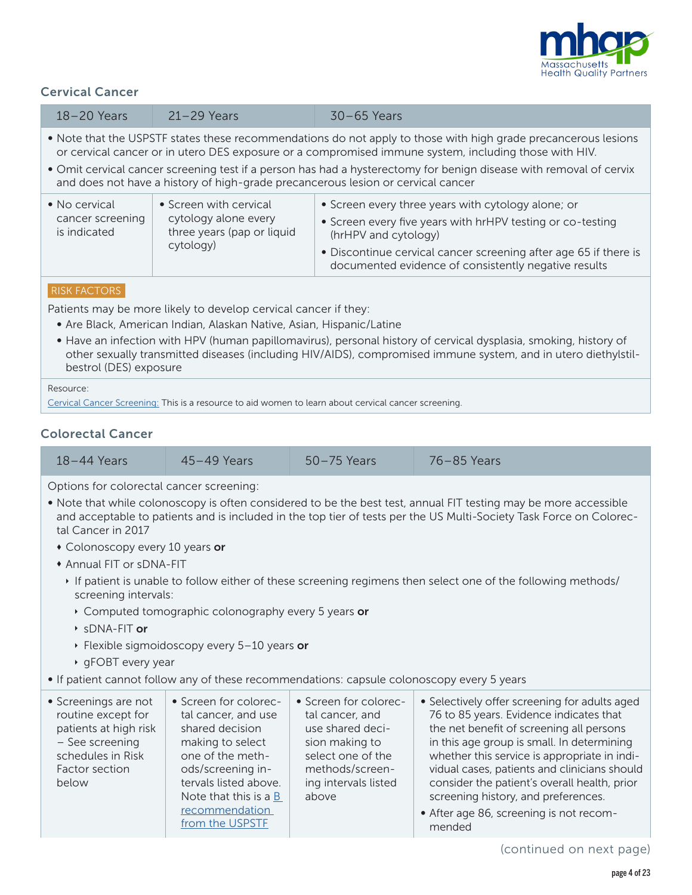

# Cervical Cancer

| 18-20 Years                                                                                                                                                                                                                                                                                                                                   | $21 - 29$ Years                                                                           | $30 - 65$ Years                                                                                                                                                                                                                                                      |  |
|-----------------------------------------------------------------------------------------------------------------------------------------------------------------------------------------------------------------------------------------------------------------------------------------------------------------------------------------------|-------------------------------------------------------------------------------------------|----------------------------------------------------------------------------------------------------------------------------------------------------------------------------------------------------------------------------------------------------------------------|--|
| • Note that the USPSTF states these recommendations do not apply to those with high grade precancerous lesions<br>or cervical cancer or in utero DES exposure or a compromised immune system, including those with HIV.<br>• Omit cervical cancer screening test if a person has had a hysterectomy for benign disease with removal of cervix |                                                                                           |                                                                                                                                                                                                                                                                      |  |
| and does not have a history of high-grade precancerous lesion or cervical cancer                                                                                                                                                                                                                                                              |                                                                                           |                                                                                                                                                                                                                                                                      |  |
| • No cervical<br>cancer screening<br>is indicated                                                                                                                                                                                                                                                                                             | • Screen with cervical<br>cytology alone every<br>three years (pap or liquid<br>cytology) | • Screen every three years with cytology alone; or<br>• Screen every five years with hrHPV testing or co-testing<br>(hrHPV and cytology)<br>• Discontinue cervical cancer screening after age 65 if there is<br>documented evidence of consistently negative results |  |
| <b>RISK FACTORS</b><br>Patients may be more likely to develop cervical cancer if they:<br>• Are Black, American Indian, Alaskan Native, Asian, Hispanic/Latine                                                                                                                                                                                |                                                                                           |                                                                                                                                                                                                                                                                      |  |

• Have an infection with HPV (human papillomavirus), personal history of cervical dysplasia, smoking, history of other sexually transmitted diseases (including HIV/AIDS), compromised immune system, and in utero diethylstilbestrol (DES) exposure

#### Resource:

[Cervical Cancer Screening:](https://www.acog.org/womens-health/faqs/cervical-cancer-screening) This is a resource to aid women to learn about cervical cancer screening.

# Colorectal Cancer

| $18 - 44$ Years | $45 - 49$ Years | 50-75 Years | 76-85 Years |  |
|-----------------|-----------------|-------------|-------------|--|
|                 |                 |             |             |  |

Options for colorectal cancer screening:

- Note that while colonoscopy is often considered to be the best test, annual FIT testing may be more accessible and acceptable to patients and is included in the top tier of tests per the US Multi-Society Task Force on Colorectal Cancer in 2017
	- Colonoscopy every 10 years or
	- **\* Annual FIT or sDNA-FIT** 
		- } If patient is unable to follow either of these screening regimens then select one of the following methods/ screening intervals:
			- **Computed tomographic colonography every 5 years or**
			- } sDNA-FIT or
			- $\cdot$  Flexible sigmoidoscopy every 5-10 years or
			- **gFOBT every year**
- If patient cannot follow any of these recommendations: capsule colonoscopy every 5 years

| • Screenings are not<br>routine except for<br>patients at high risk<br>- See screening<br>schedules in Risk<br>Factor section<br>below | • Screen for colorec-<br>tal cancer, and use<br>shared decision<br>making to select<br>one of the meth-<br>ods/screening in-<br>tervals listed above.<br>Note that this is a $B$<br>above<br>recommendation<br>from the USPSTE | • Screen for colorec-<br>tal cancer, and<br>use shared deci-<br>sion making to<br>select one of the<br>methods/screen-<br>ing intervals listed<br>mended | • Selectively offer screening for adults aged<br>76 to 85 years. Evidence indicates that<br>the net benefit of screening all persons<br>in this age group is small. In determining<br>whether this service is appropriate in indi-<br>vidual cases, patients and clinicians should<br>consider the patient's overall health, prior<br>screening history, and preferences.<br>• After age 86, screening is not recom- |
|----------------------------------------------------------------------------------------------------------------------------------------|--------------------------------------------------------------------------------------------------------------------------------------------------------------------------------------------------------------------------------|----------------------------------------------------------------------------------------------------------------------------------------------------------|----------------------------------------------------------------------------------------------------------------------------------------------------------------------------------------------------------------------------------------------------------------------------------------------------------------------------------------------------------------------------------------------------------------------|
|----------------------------------------------------------------------------------------------------------------------------------------|--------------------------------------------------------------------------------------------------------------------------------------------------------------------------------------------------------------------------------|----------------------------------------------------------------------------------------------------------------------------------------------------------|----------------------------------------------------------------------------------------------------------------------------------------------------------------------------------------------------------------------------------------------------------------------------------------------------------------------------------------------------------------------------------------------------------------------|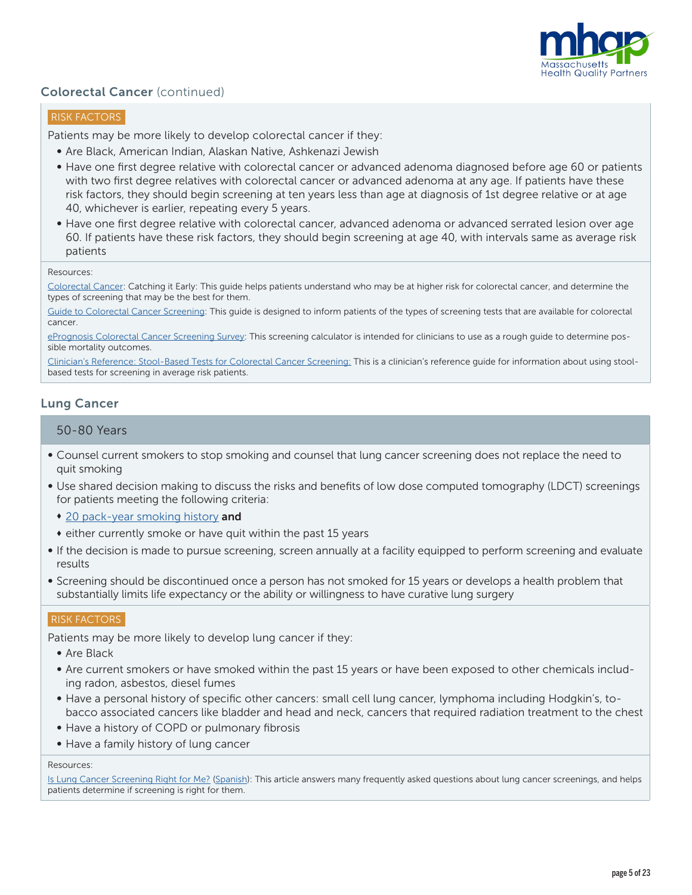

# Colorectal Cancer (continued)

# RISK FACTORS

Patients may be more likely to develop colorectal cancer if they:

- Are Black, American Indian, Alaskan Native, Ashkenazi Jewish
- Have one first degree relative with colorectal cancer or advanced adenoma diagnosed before age 60 or patients with two first degree relatives with colorectal cancer or advanced adenoma at any age. If patients have these risk factors, they should begin screening at ten years less than age at diagnosis of 1st degree relative or at age 40, whichever is earlier, repeating every 5 years.
- Have one first degree relative with colorectal cancer, advanced adenoma or advanced serrated lesion over age 60. If patients have these risk factors, they should begin screening at age 40, with intervals same as average risk patients

#### Resources:

[Colorectal Cancer: Catching it Early:](https://www.cancer.org/content/dam/cancer-org/online-documents/en/pdf/infographics/colorectal-cancer-catching-it-early-infographic-print.pdf) This guide helps patients understand who may be at higher risk for colorectal cancer, and determine the types of screening that may be the best for them.

[Guide to Colorectal Cancer Screening](https://fightcolorectalcancer.org/wp-content/uploads/2019/11/Screening_MiniMag_2019_WEB.pdf): This guide is designed to inform patients of the types of screening tests that are available for colorectal cancer.

[ePrognosis Colorectal Cancer Screening Survey](http://cancerscreening.eprognosis.org/screening/): This screening calculator is intended for clinicians to use as a rough guide to determine possible mortality outcomes.

[Clinician's Reference: Stool-Based Tests for Colorectal Cancer Screening](http://nccrt.org/wp-content/uploads/dlm_uploads/IssueBrief_FOBT_CliniciansRef-09282019.pdf): This is a clinician's reference guide for information about using stoolbased tests for screening in average risk patients.

# Lung Cancer

#### 50-80 Years

- Counsel current smokers to stop smoking and counsel that lung cancer screening does not replace the need to quit smoking
- Use shared decision making to discuss the risks and benefits of low dose computed tomography (LDCT) screenings for patients meeting the following criteria:
	- 2[0 pack-year smoking history](https://www.cancer.gov/publications/dictionaries/cancer-terms/def/306510?cdrid=306510) and
	- either currently smoke or have quit within the past 15 years
- If the decision is made to pursue screening, screen annually at a facility equipped to perform screening and evaluate results
- Screening should be discontinued once a person has not smoked for 15 years or develops a health problem that substantially limits life expectancy or the ability or willingness to have curative lung surgery

#### RISK FACTORS

Patients may be more likely to develop lung cancer if they:

- Are Black
- Are current smokers or have smoked within the past 15 years or have been exposed to other chemicals including radon, asbestos, diesel fumes
- Have a personal history of specific other cancers: small cell lung cancer, lymphoma including Hodgkin's, tobacco associated cancers like bladder and head and neck, cancers that required radiation treatment to the chest
- Have a history of COPD or pulmonary fibrosis
- Have a family history of lung cancer

#### Resources:

[Is Lung Cancer Screening Right for Me?](https://www.lung.org/lung-health-diseases/lung-disease-lookup/lung-cancer/saved-by-the-scan/resources/is-lung-cancer-screening-right) ([Spanish\)](https://www.lung.org/espanol/salvado-por-una-imagen): This article answers many frequently asked questions about lung cancer screenings, and helps patients determine if screening is right for them.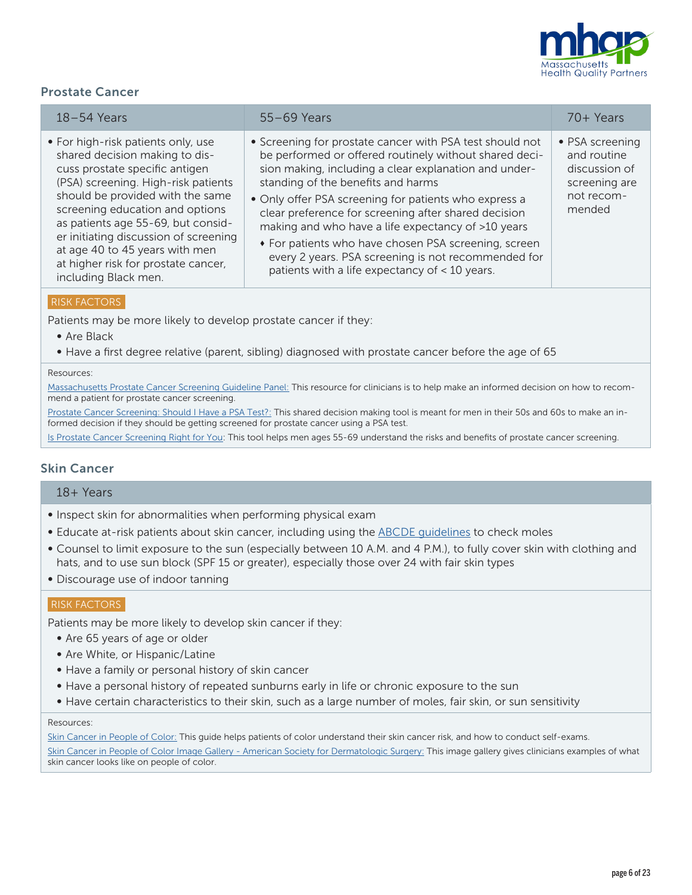

# Prostate Cancer

| $18 - 54$ Years                                                                                                                                                                                                                                                                                                                                                                                      | $55 - 69$ Years                                                                                                                                                                                                                                                                                                                                                                                                                                                                                                                                             | 70+ Years                                                                                |
|------------------------------------------------------------------------------------------------------------------------------------------------------------------------------------------------------------------------------------------------------------------------------------------------------------------------------------------------------------------------------------------------------|-------------------------------------------------------------------------------------------------------------------------------------------------------------------------------------------------------------------------------------------------------------------------------------------------------------------------------------------------------------------------------------------------------------------------------------------------------------------------------------------------------------------------------------------------------------|------------------------------------------------------------------------------------------|
| • For high-risk patients only, use<br>shared decision making to dis-<br>cuss prostate specific antigen<br>(PSA) screening. High-risk patients<br>should be provided with the same<br>screening education and options<br>as patients age 55-69, but consid-<br>er initiating discussion of screening<br>at age 40 to 45 years with men<br>at higher risk for prostate cancer,<br>including Black men. | • Screening for prostate cancer with PSA test should not<br>be performed or offered routinely without shared deci-<br>sion making, including a clear explanation and under-<br>standing of the benefits and harms<br>• Only offer PSA screening for patients who express a<br>clear preference for screening after shared decision<br>making and who have a life expectancy of >10 years<br>• For patients who have chosen PSA screening, screen<br>every 2 years. PSA screening is not recommended for<br>patients with a life expectancy of $<$ 10 years. | • PSA screening<br>and routine<br>discussion of<br>screening are<br>not recom-<br>mended |
|                                                                                                                                                                                                                                                                                                                                                                                                      |                                                                                                                                                                                                                                                                                                                                                                                                                                                                                                                                                             |                                                                                          |

# RISK FACTORS

Patients may be more likely to develop prostate cancer if they:

- Are Black
- Have a first degree relative (parent, sibling) diagnosed with prostate cancer before the age of 65

#### Resources[:](https://www.cancer.org/health-care-professionals/american-cancer-society-prevention-early-detection-guidelines/breast-cancer-screening-guidelines.html)

[Massachusetts Prostate Cancer Screening Guideline Panel:](https://www.umassmed.edu/globalassets/family-medicine-and-community-health/roger-mhqp/clinical-practice-guideline-final-june-2013-final-corrected-links.pdf) This resource for clinicians is to help make an informed decision on how to recommend a patient for prostate cancer screening.

[Prostate Cancer Screening: Should I Have a PSA Test?](https://www.uofmhealth.org/health-library/aa38144): This shared decision making tool is meant for men in their 50s and 60s to make an informed decision if they should be getting screened for prostate cancer using a PSA test.

[Is Prostate Cancer Screening Right for You](https://www.uspreventiveservicestaskforce.org/Home/GetFileByToken/HV9RGq3wLyh6PyK4oxVtde): This tool helps men ages 55-69 understand the risks and benefits of prostate cancer screening.

# Skin Cancer

#### 18+ Years

- Inspect skin for abnormalities when performing physical exam
- Educate at-risk patients about skin cancer, including using the [ABCDE guidelines](https://www.cdc.gov/cancer/skin/basic_info/symptoms.htm) to check moles
- Counsel to limit exposure to the sun (especially between 10 A.M. and 4 P.M.), to fully cover skin with clothing and hats, and to use sun block (SPF 15 or greater), especially those over 24 with fair skin types
- Discourage use of indoor tanning

#### RISK FACTORS

Patients may be more likely to develop skin cancer if they:

- Are 65 years of age or older
- Are White, or Hispanic/Latine
- Have a family or personal history of skin cancer
- Have a personal history of repeated sunburns early in life or chronic exposure to the sun
- Have certain characteristics to their skin, such as a large number of moles, fair skin, or sun sensitivity

#### Resources[:](https://www.cancer.org/health-care-professionals/american-cancer-society-prevention-early-detection-guidelines/breast-cancer-screening-guidelines.html)

[Skin Cancer in People of Color](https://www.aad.org/public/diseases/skin-cancer/types/common/melanoma/skin-color): This guide helps patients of color understand their skin cancer risk, and how to conduct self-exams. [Skin Cancer in People of Color Image Gallery - American Society for Dermatologic Surgery](https://www.asds.net/skin-experts/skin-cancer/skin-cancer-in-people-of-color/skin-cancer-photo-gallery): This image gallery gives clinicians examples of what skin cancer looks like on people of color.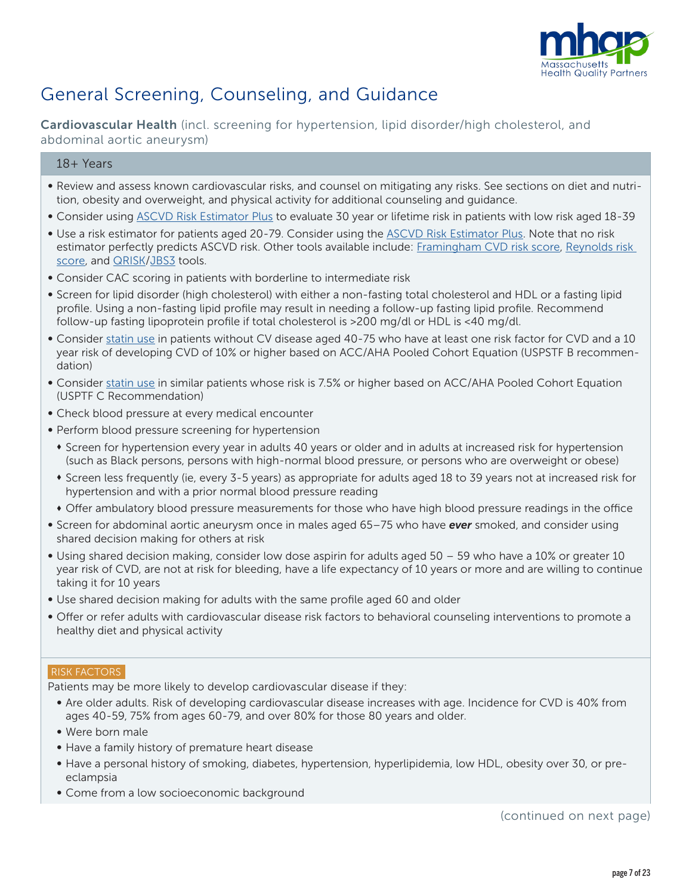

# General Screening, Counseling, and Guidance

Cardiovascular Health (incl. screening for hypertension, lipid disorder/high cholesterol, and abdominal aortic aneurysm)

# 18+ Years

- Review and assess known cardiovascular risks, and counsel on mitigating any risks. See sections on diet and nutrition, obesity and overweight, and physical activity for additional counseling and guidance.
- Consider using [ASCVD Risk Estimator Plus](https://tools.acc.org/ascvd-risk-estimator-plus/#!/calculate/estimate/) to evaluate 30 year or lifetime risk in patients with low risk aged 18-39
- Use a risk estimator for patients aged 20-79. Consider using the [ASCVD Risk Estimator Plus.](https://tools.acc.org/ascvd-risk-estimator-plus/#!/calculate/estimate/) Note that no risk estimator perfectly predicts ASCVD risk. Other tools available include: [Framingham CVD risk score,](https://www.mdcalc.com/framingham-risk-score-hard-coronary-heart-disease) [Reynolds risk](http://www.reynoldsriskscore.org/)  [score](http://www.reynoldsriskscore.org/), and **QRISK/[JBS3](http://www.jbs3risk.com/)** tools.
- Consider CAC scoring in patients with borderline to intermediate risk
- Screen for lipid disorder (high cholesterol) with either a non-fasting total cholesterol and HDL or a fasting lipid profile. Using a non-fasting lipid profile may result in needing a follow-up fasting lipid profile. Recommend follow-up fasting lipoprotein profile if total cholesterol is >200 mg/dl or HDL is <40 mg/dl.
- Consider [statin use](https://www.acc.org/latest-in-cardiology/ten-points-to-remember/2019/03/07/16/00/2019-acc-aha-guideline-on-primary-prevention-gl-prevention) in patients without CV disease aged 40-75 who have at least one risk factor for CVD and a 10 year risk of developing CVD of 10% or higher based on ACC/AHA Pooled Cohort Equation (USPSTF B recommendation)
- Consider [statin use](https://www.acc.org/latest-in-cardiology/ten-points-to-remember/2019/03/07/16/00/2019-acc-aha-guideline-on-primary-prevention-gl-prevention) in similar patients whose risk is 7.5% or higher based on ACC/AHA Pooled Cohort Equation (USPTF C Recommendation)
- Check blood pressure at every medical encounter
- Perform blood pressure screening for hypertension
	- Screen for hypertension every year in adults 40 years or older and in adults at increased risk for hypertension (such as Black persons, persons with high-normal blood pressure, or persons who are overweight or obese)
	- \* Screen less frequently (ie, every 3-5 years) as appropriate for adults aged 18 to 39 years not at increased risk for hypertension and with a prior normal blood pressure reading
	- Offer ambulatory blood pressure measurements for those who have high blood pressure readings in the office
- Screen for abdominal aortic aneurysm once in males aged 65–75 who have *ever* smoked, and consider using shared decision making for others at risk
- Using shared decision making, consider low dose aspirin for adults aged 50 59 who have a 10% or greater 10 year risk of CVD, are not at risk for bleeding, have a life expectancy of 10 years or more and are willing to continue taking it for 10 years
- Use shared decision making for adults with the same profile aged 60 and older
- Offer or refer adults with cardiovascular disease risk factors to behavioral counseling interventions to promote a healthy diet and physical activity

# RISK FACTORS

Patients may be more likely to develop cardiovascular disease if they:

- Are older adults. Risk of developing cardiovascular disease increases with age. Incidence for CVD is 40% from ages 40-59, 75% from ages 60-79, and over 80% for those 80 years and older.
- Were born male
- Have a family history of premature heart disease
- Have a personal history of smoking, diabetes, hypertension, hyperlipidemia, low HDL, obesity over 30, or preeclampsia
- Come from a low socioeconomic background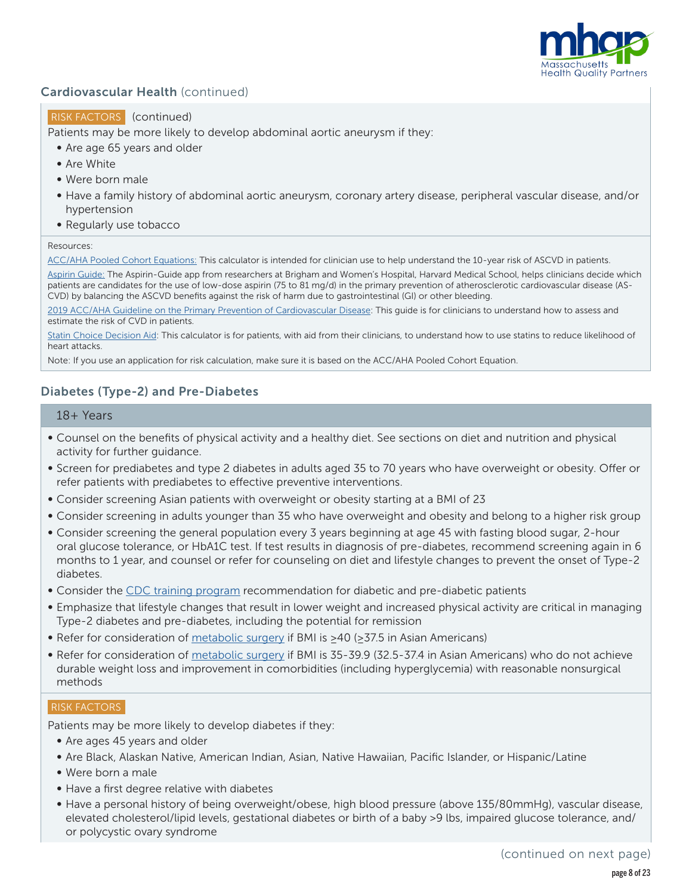

# **Cardiovascular Health (continued)**

# RISK FACTORS (continued)

Patients may be more likely to develop abdominal aortic aneurysm if they:

- Are age 65 years and older
- Are White
- Were born male
- Have a family history of abdominal aortic aneurysm, coronary artery disease, peripheral vascular disease, and/or hypertension
- Regularly use tobacco

#### Resources:

[ACC/AHA Pooled Cohort Equations:](https://tools.acc.org/ASCVD-Risk-Estimator-Plus/#!/calculate/estimate/) This calculator is intended for clinician use to help understand the 10-year risk of ASCVD in patients.

[Aspirin Guide:](http://www.aspiringuide.com/nav/1) The Aspirin-Guide app from researchers at Brigham and Women's Hospital, Harvard Medical School, helps clinicians decide which patients are candidates for the use of low-dose aspirin (75 to 81 mg/d) in the primary prevention of atherosclerotic cardiovascular disease (AS-CVD) by balancing the ASCVD benefits against the risk of harm due to gastrointestinal (GI) or other bleeding.

[2019 ACC/AHA Guideline on the Primary Prevention of Cardiovascular Disease](https://www.acc.org/latest-in-cardiology/ten-points-to-remember/2019/03/07/16/00/2019-acc-aha-guideline-on-primary-prevention-gl-prevention): This guide is for clinicians to understand how to assess and estimate the risk of CVD in patients.

[Statin Choice Decision Aid](https://statindecisionaid.mayoclinic.org/): This calculator is for patients, with aid from their clinicians, to understand how to use statins to reduce likelihood of heart attacks.

Note: If you use an application for risk calculation, make sure it is based on the ACC/AHA Pooled Cohort Equation.

# Diabetes (Type-2) and Pre-Diabetes

#### 18+ Years

- Counsel on the benefits of physical activity and a healthy diet. See sections on diet and nutrition and physical activity for further guidance.
- Screen for prediabetes and type 2 diabetes in adults aged 35 to 70 years who have overweight or obesity. Offer or refer patients with prediabetes to effective preventive interventions.
- Consider screening Asian patients with overweight or obesity starting at a BMI of 23
- Consider screening in adults younger than 35 who have overweight and obesity and belong to a higher risk group
- Consider screening the general population every 3 years beginning at age 45 with fasting blood sugar, 2-hour oral glucose tolerance, or HbA1C test. If test results in diagnosis of pre-diabetes, recommend screening again in 6 months to 1 year, and counsel or refer for counseling on diet and lifestyle changes to prevent the onset of Type-2 diabetes.
- Consider the [CDC training program](https://www.cdc.gov/healthyweight/index.html) recommendation for diabetic and pre-diabetic patients
- Emphasize that lifestyle changes that result in lower weight and increased physical activity are critical in managing Type-2 diabetes and pre-diabetes, including the potential for remission
- Refer for consideration of [metabolic surgery](https://diabetesjournals.org/clinical/article/37/1/11/32671/Standards-of-Medical-Care-in-Diabetes-2019) if BMI is ≥40 (≥37.5 in Asian Americans)
- Refer for consideration of [metabolic surgery](https://diabetesjournals.org/clinical/article/37/1/11/32671/Standards-of-Medical-Care-in-Diabetes-2019) if BMI is 35-39.9 (32.5-37.4 in Asian Americans) who do not achieve durable weight loss and improvement in comorbidities (including hyperglycemia) with reasonable nonsurgical methods

#### RISK FACTORS

Patients may be more likely to develop diabetes if they:

- Are ages 45 years and older
- Are Black, Alaskan Native, American Indian, Asian, Native Hawaiian, Pacific Islander, or Hispanic/Latine
- Were born a male
- Have a first degree relative with diabetes
- Have a personal history of being overweight/obese, high blood pressure (above 135/80mmHg), vascular disease, elevated cholesterol/lipid levels, gestational diabetes or birth of a baby >9 lbs, impaired glucose tolerance, and/ or polycystic ovary syndrome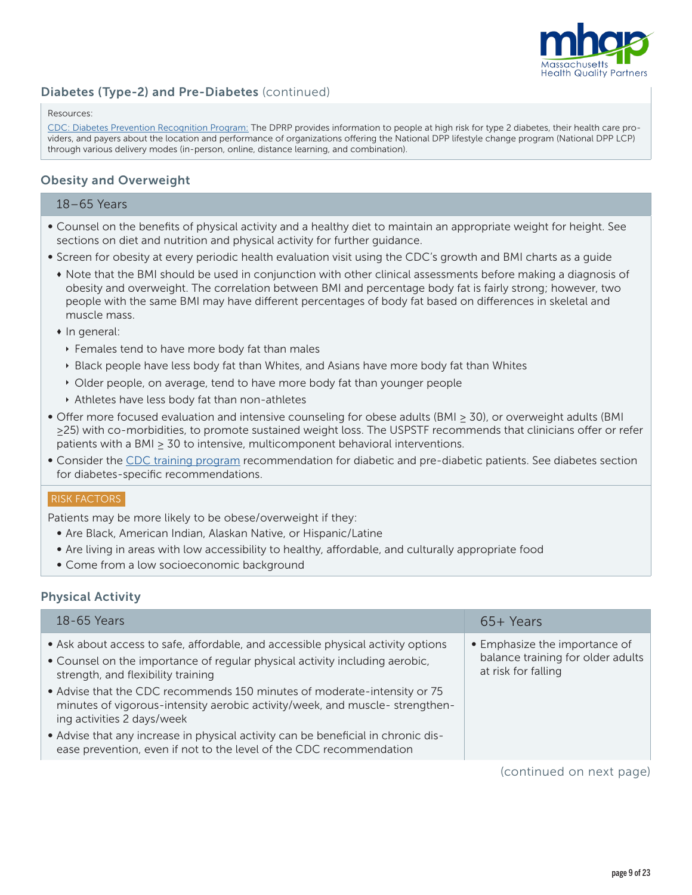

# Diabetes (Type-2) and Pre-Diabetes (continued)

#### Resources:

[CDC: Diabetes Prevention Recognition Program:](https://www.cdc.gov/diabetes/prevention/pdf/dprp-standards.pdf) The DPRP provides information to people at high risk for type 2 diabetes, their health care providers, and payers about the location and performance of organizations offering the National DPP lifestyle change program (National DPP LCP) through various delivery modes (in-person, online, distance learning, and combination).

# Obesity and Overweight

## 18–65 Years

- Counsel on the benefits of physical activity and a healthy diet to maintain an appropriate weight for height. See sections on diet and nutrition and physical activity for further guidance.
- Screen for obesity at every periodic health evaluation visit using the CDC's growth and BMI charts as a guide
	- Note that the BMI should be used in conjunction with other clinical assessments before making a diagnosis of obesity and overweight. The correlation between BMI and percentage body fat is fairly strong; however, two people with the same BMI may have different percentages of body fat based on differences in skeletal and muscle mass.
	- $*$  In general:
		- } Females tend to have more body fat than males
		- } Black people have less body fat than Whites, and Asians have more body fat than Whites
		- } Older people, on average, tend to have more body fat than younger people
		- } Athletes have less body fat than non-athletes
- Offer more focused evaluation and intensive counseling for obese adults (BMI ≥ 30), or overweight adults (BMI ≥25) with co-morbidities, to promote sustained weight loss. The USPSTF recommends that clinicians offer or refer patients with a BMI > 30 to intensive, multicomponent behavioral interventions.
- Consider the [CDC training program](https://www.cdc.gov/healthyweight/index.html) recommendation for diabetic and pre-diabetic patients. See diabetes section for diabetes-specific recommendations.

#### RISK FACTORS

Patients may be more likely to be obese/overweight if they:

- Are Black, American Indian, Alaskan Native, or Hispanic/Latine
- Are living in areas with low accessibility to healthy, affordable, and culturally appropriate food
- Come from a low socioeconomic background

# Physical Activity

| 18-65 Years                                                                                                                                                                                                                                                                                                                                                                                                                                                                                                                                                | $65+$ Years                                                                               |
|------------------------------------------------------------------------------------------------------------------------------------------------------------------------------------------------------------------------------------------------------------------------------------------------------------------------------------------------------------------------------------------------------------------------------------------------------------------------------------------------------------------------------------------------------------|-------------------------------------------------------------------------------------------|
| • Ask about access to safe, affordable, and accessible physical activity options<br>• Counsel on the importance of regular physical activity including aerobic,<br>strength, and flexibility training<br>• Advise that the CDC recommends 150 minutes of moderate-intensity or 75<br>minutes of vigorous-intensity aerobic activity/week, and muscle-strengthen-<br>ing activities 2 days/week<br>• Advise that any increase in physical activity can be beneficial in chronic dis-<br>ease prevention, even if not to the level of the CDC recommendation | • Emphasize the importance of<br>balance training for older adults<br>at risk for falling |
|                                                                                                                                                                                                                                                                                                                                                                                                                                                                                                                                                            |                                                                                           |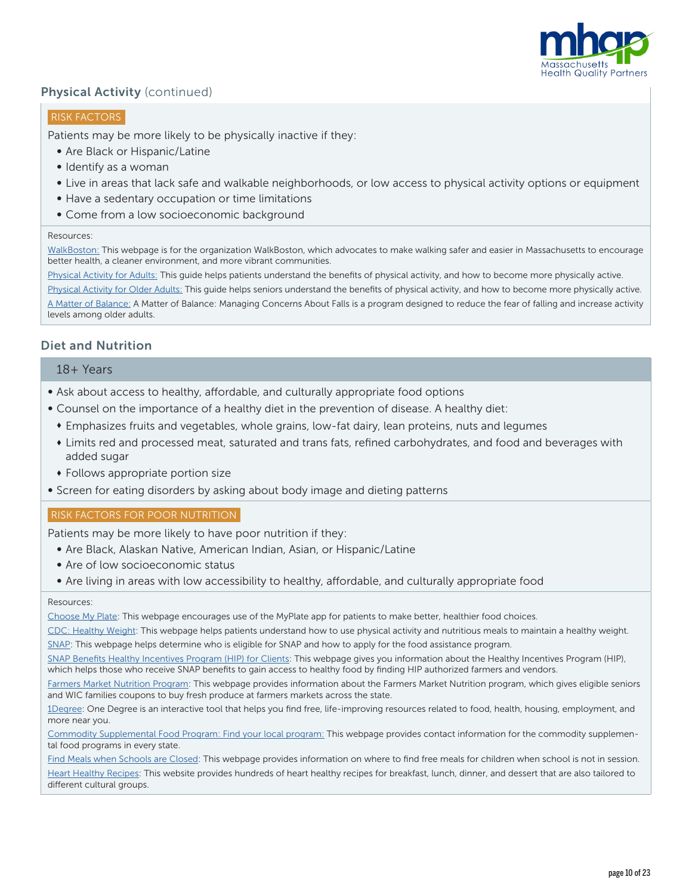

# **Physical Activity (continued)**

# RISK FACTORS

Patients may be more likely to be physically inactive if they:

- Are Black or Hispanic/Latine
- Identify as a woman
- Live in areas that lack safe and walkable neighborhoods, or low access to physical activity options or equipment
- Have a sedentary occupation or time limitations
- Come from a low socioeconomic background

#### Resources:

[WalkBoston:](https://walkboston.org/) This webpage is for the organization WalkBoston, which advocates to make walking safer and easier in Massachusetts to encourage better health, a cleaner environment, and more vibrant communities.

[Physical Activity for Adults](https://www.cdc.gov/physicalactivity/basics/adults/index.htm): This guide helps patients understand the benefits of physical activity, and how to become more physically active. [Physical Activity for Older Adults](https://www.cdc.gov/physicalactivity/basics/adding-pa/activities-olderadults.htm): This guide helps seniors understand the benefits of physical activity, and how to become more physically active. [A Matter of Balance:](https://www.ethocare.org/healthy-aging-classes/a-matter-of-balance/) A Matter of Balance: Managing Concerns About Falls is a program designed to reduce the fear of falling and increase activity

levels among older adults.

# Diet and Nutrition

# 18+ Years

- Ask about access to healthy, affordable, and culturally appropriate food options
- Counsel on the importance of a healthy diet in the prevention of disease. A healthy diet:
	- Emphasizes fruits and vegetables, whole grains, low-fat dairy, lean proteins, nuts and legumes
	- $\bullet$  Limits red and processed meat, saturated and trans fats, refined carbohydrates, and food and beverages with added sugar
	- $\bullet$  Follows appropriate portion size
- Screen for eating disorders by asking about body image and dieting patterns

#### RISK FACTORS FOR POOR NUTRITION

Patients may be more likely to have poor nutrition if they:

- Are Black, Alaskan Native, American Indian, Asian, or Hispanic/Latine
- Are of low socioeconomic status
- Are living in areas with low accessibility to healthy, affordable, and culturally appropriate food

#### Resources:

[Choose My Plate:](https://www.choosemyplate.gov/start-simple-myplate) This webpage encourages use of the MyPlate app for patients to make better, healthier food choices.

[CDC: Healthy Weight](https://www.cdc.gov/healthyweight/index.html): This webpage helps patients understand how to use physical activity and nutritious meals to maintain a healthy weight. [SNAP](https://www.mass.gov/snap-benefits-formerly-food-stamps): This webpage helps determine who is eligible for SNAP and how to apply for the food assistance program.

[SNAP Benefits Healthy Incentives Program \(HIP\) for Clients:](https://www.mass.gov/service-details/massachusetts-healthy-incentives-program-hip) This webpage gives you information about the Healthy Incentives Program (HIP), which helps those who receive SNAP benefits to gain access to healthy food by finding HIP authorized farmers and vendors.

[Farmers Market Nutrition Program:](https://www.mass.gov/farmers-market-nutrition-program) This webpage provides information about the Farmers Market Nutrition program, which gives eligible seniors and WIC families coupons to buy fresh produce at farmers markets across the state.

[1Degree:](https://www.1degree.org/) One Degree is an interactive tool that helps you find free, life-improving resources related to food, health, housing, employment, and more near you.

[Commodity Supplemental Food Program: Find your local program:](https://www.fns.usda.gov/csfp/applicant-recipient) This webpage provides contact information for the commodity supplemental food programs in every state.

[Find Meals when Schools are Closed](https://www.fns.usda.gov/meals4kids): This webpage provides information on where to find free meals for children when school is not in session. [Heart Healthy Recipes:](https://healthyeating.nhlbi.nih.gov/default.aspx?) This website provides hundreds of heart healthy recipes for breakfast, lunch, dinner, and dessert that are also tailored to different cultural groups.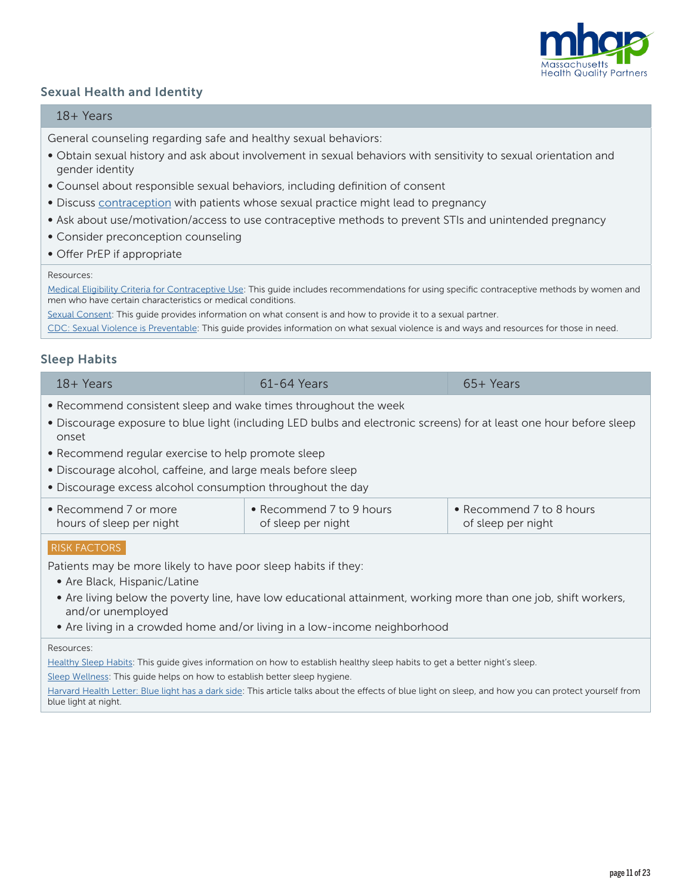

# Sexual Health and Identity

# 18+ Years

General counseling regarding safe and healthy sexual behaviors:

- Obtain sexual history and ask about involvement in sexual behaviors with sensitivity to sexual orientation and gender identity
- Counsel about responsible sexual behaviors, including definition of consent
- Discuss [contraception](https://www.cdc.gov/reproductivehealth/contraception/pdf/summary-chart-us-medical-eligibility-criteria_508tagged.pdf) with patients whose sexual practice might lead to pregnancy
- Ask about use/motivation/access to use contraceptive methods to prevent STIs and unintended pregnancy
- Consider preconception counseling
- Offer PrEP if appropriate

#### Resources[:](https://www.cancer.org/health-care-professionals/american-cancer-society-prevention-early-detection-guidelines/breast-cancer-screening-guidelines.html)

[Medical Eligibility Criteria for Contraceptive Use](https://www.cdc.gov/reproductivehealth/contraception/mmwr/mec/summary.html): This guide includes recommendations for using specific contraceptive methods by women and men who have certain characteristics or medical conditions.

[Sexual Consent:](https://www.plannedparenthood.org/learn/relationships/sexual-consent) This guide provides information on what consent is and how to provide it to a sexual partner.

[CDC: Sexual Violence is Preventable](https://www.cdc.gov/injury/features/sexual-violence/index.html): This guide provides information on what sexual violence is and ways and resources for those in need.

#### Sleep Habits

| $18 + Years$                                                                                                                 | $61 - 64$ Years                                | 65+ Years                                      |  |  |
|------------------------------------------------------------------------------------------------------------------------------|------------------------------------------------|------------------------------------------------|--|--|
| • Recommend consistent sleep and wake times throughout the week                                                              |                                                |                                                |  |  |
| . Discourage exposure to blue light (including LED bulbs and electronic screens) for at least one hour before sleep<br>onset |                                                |                                                |  |  |
| • Recommend regular exercise to help promote sleep                                                                           |                                                |                                                |  |  |
| • Discourage alcohol, caffeine, and large meals before sleep                                                                 |                                                |                                                |  |  |
| · Discourage excess alcohol consumption throughout the day                                                                   |                                                |                                                |  |  |
| • Recommend 7 or more<br>hours of sleep per night                                                                            | • Recommend 7 to 9 hours<br>of sleep per night | • Recommend 7 to 8 hours<br>of sleep per night |  |  |
| DICV EACTODC                                                                                                                 |                                                |                                                |  |  |

#### RISK FACTORS

Patients may be more likely to have poor sleep habits if they:

- Are Black, Hispanic/Latine
- Are living below the poverty line, have low educational attainment, working more than one job, shift workers, and/or unemployed
- Are living in a crowded home and/or living in a low-income neighborhood

#### Resources:

[Healthy Sleep Habits](https://sleepeducation.org/healthy-sleep/healthy-sleep-habits/): This guide gives information on how to establish healthy sleep habits to get a better night's sleep.

[Sleep Wellness](https://healthengagement.kaiserpermanente.org/wellness-topics/sleep/): This guide helps on how to establish better sleep hygiene.

[Harvard Health Letter: Blue light has a dark side](https://www.health.harvard.edu/staying-healthy/blue-light-has-a-dark-side): This article talks about the effects of blue light on sleep, and how you can protect yourself from blue light at night.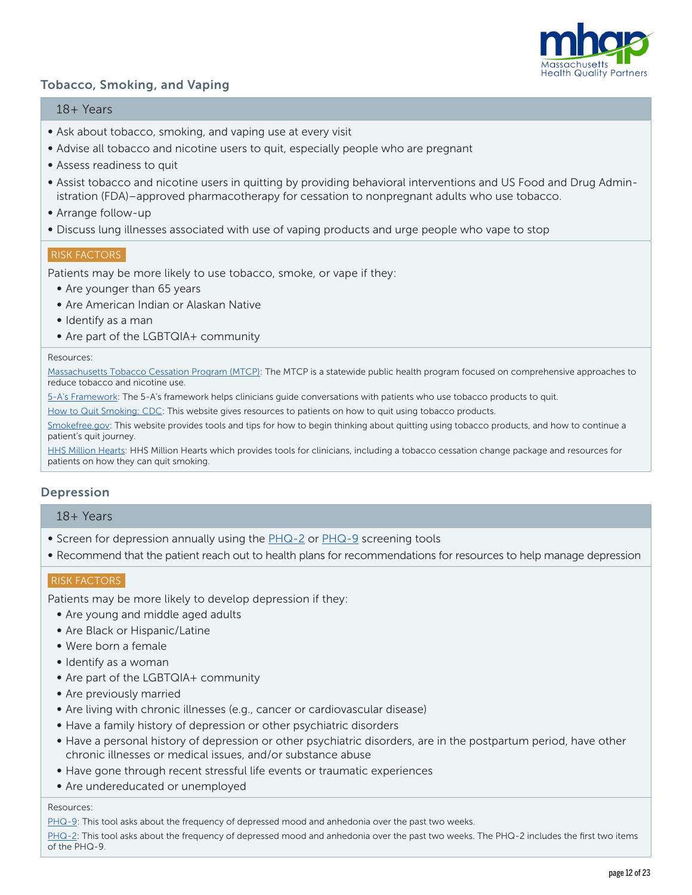

# Tobacco, Smoking, and Vaping

# 18+ Years

- Ask about tobacco, smoking, and vaping use at every visit
- Advise all tobacco and nicotine users to quit, especially people who are pregnant
- Assess readiness to quit
- Assist tobacco and nicotine users in quitting by providing behavioral interventions and US Food and Drug Administration (FDA)–approved pharmacotherapy for cessation to nonpregnant adults who use tobacco.
- Arrange follow-up
- Discuss lung illnesses associated with use of vaping products and urge people who vape to stop

#### RISK FACTORS

Patients may be more likely to use tobacco, smoke, or vape if they:

- Are younger than 65 years
- Are American Indian or Alaskan Native
- Identify as a man
- Are part of the LGBTQIA+ community

#### Resources:

[Massachusetts Tobacco Cessation Program \(MTCP\)](https://www.mass.gov/massachusetts-tobacco-cessation-and-prevention-program-mtcp): The MTCP is a statewide public health program focused on comprehensive approaches to reduce tobacco and nicotine use.

[5-A's Framework:](https://www.ahrq.gov/prevention/guidelines/tobacco/5steps.html) The 5-A's framework helps clinicians guide conversations with patients who use tobacco products to quit.

[How to Quit Smoking: CDC](https://www.cdc.gov/tobacco/campaign/tips/quit-smoking/index.html): This website gives resources to patients on how to quit using tobacco products.

[Smokefree.gov:](https://smokefree.gov/) This website provides tools and tips for how to begin thinking about quitting using tobacco products, and how to continue a patient's quit journey.

[HHS Million Hearts:](https://millionhearts.hhs.gov/tools-protocols/tools/tobacco-use.html) HHS Million Hearts which provides tools for clinicians, including a tobacco cessation change package and resources for patients on how they can quit smoking.

# Depression

# 18+ Years

- Screen for depression annually using the [PHQ-2](https://www.hiv.uw.edu/page/mental-health-screening/phq-2) or [PHQ-9](https://www.mdcalc.com/phq-9-patient-health-questionnaire-9) screening tools
- Recommend that the patient reach out to health plans for recommendations for resources to help manage depression

#### RISK FACTORS

Patients may be more likely to develop depression if they:

- Are young and middle aged adults
- Are Black or Hispanic/Latine
- Were born a female
- Identify as a woman
- Are part of the LGBTQIA+ community
- Are previously married
- Are living with chronic illnesses (e.g., cancer or cardiovascular disease)
- Have a family history of depression or other psychiatric disorders
- Have a personal history of depression or other psychiatric disorders, are in the postpartum period, have other chronic illnesses or medical issues, and/or substance abuse
- Have gone through recent stressful life events or traumatic experiences
- Are undereducated or unemployed

#### Resources:

[PHQ-9](https://www.mdcalc.com/phq-9-patient-health-questionnaire-9): This tool asks about the frequency of depressed mood and anhedonia over the past two weeks.

[PHQ-2](https://www.hiv.uw.edu/page/mental-health-screening/phq-2): This tool asks about the frequency of depressed mood and anhedonia over the past two weeks. The PHQ-2 includes the first two items of the PHQ-9.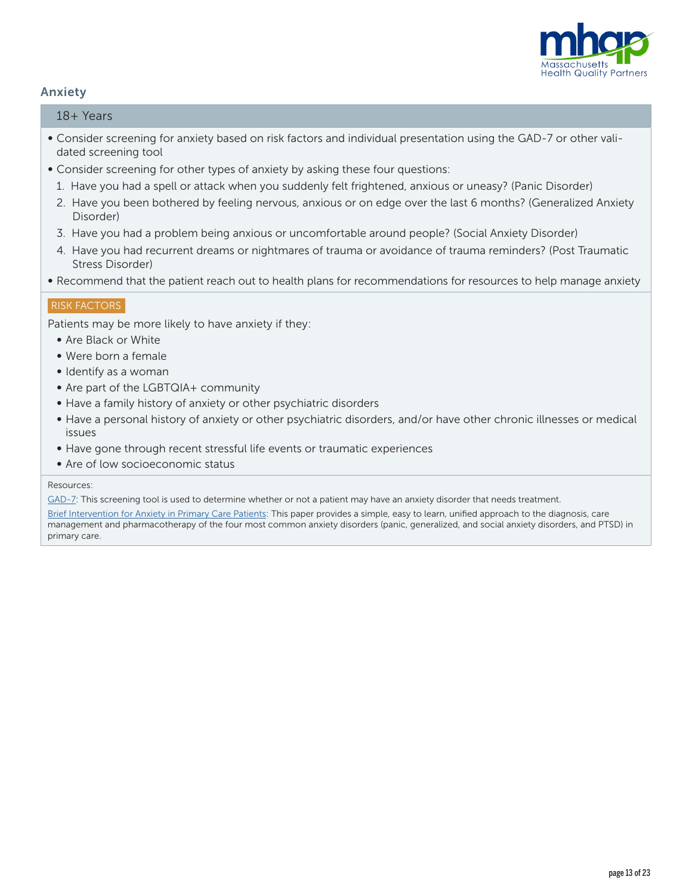

# Anxiety

#### 18+ Years

- Consider screening for anxiety based on risk factors and individual presentation using the GAD-7 or other validated screening tool
- Consider screening for other types of anxiety by asking these four questions:
	- 1. Have you had a spell or attack when you suddenly felt frightened, anxious or uneasy? (Panic Disorder)
	- 2. Have you been bothered by feeling nervous, anxious or on edge over the last 6 months? (Generalized Anxiety Disorder)
	- 3. Have you had a problem being anxious or uncomfortable around people? (Social Anxiety Disorder)
	- 4. Have you had recurrent dreams or nightmares of trauma or avoidance of trauma reminders? (Post Traumatic Stress Disorder)
- Recommend that the patient reach out to health plans for recommendations for resources to help manage anxiety

#### RISK FACTORS

Patients may be more likely to have anxiety if they:

- Are Black or White
- Were born a female
- Identify as a woman
- Are part of the LGBTQIA+ community
- Have a family history of anxiety or other psychiatric disorders
- Have a personal history of anxiety or other psychiatric disorders, and/or have other chronic illnesses or medical issues
- Have gone through recent stressful life events or traumatic experiences
- Are of low socioeconomic status

#### Resources:

[GAD-7](https://adaa.org/sites/default/files/GAD-7_Anxiety-updated_0.pdf): This screening tool is used to determine whether or not a patient may have an anxiety disorder that needs treatment.

[Brief Intervention for Anxiety in Primary Care Patients:](https://www.ncbi.nlm.nih.gov/pmc/articles/PMC2896069/) This paper provides a simple, easy to learn, unified approach to the diagnosis, care management and pharmacotherapy of the four most common anxiety disorders (panic, generalized, and social anxiety disorders, and PTSD) in primary care.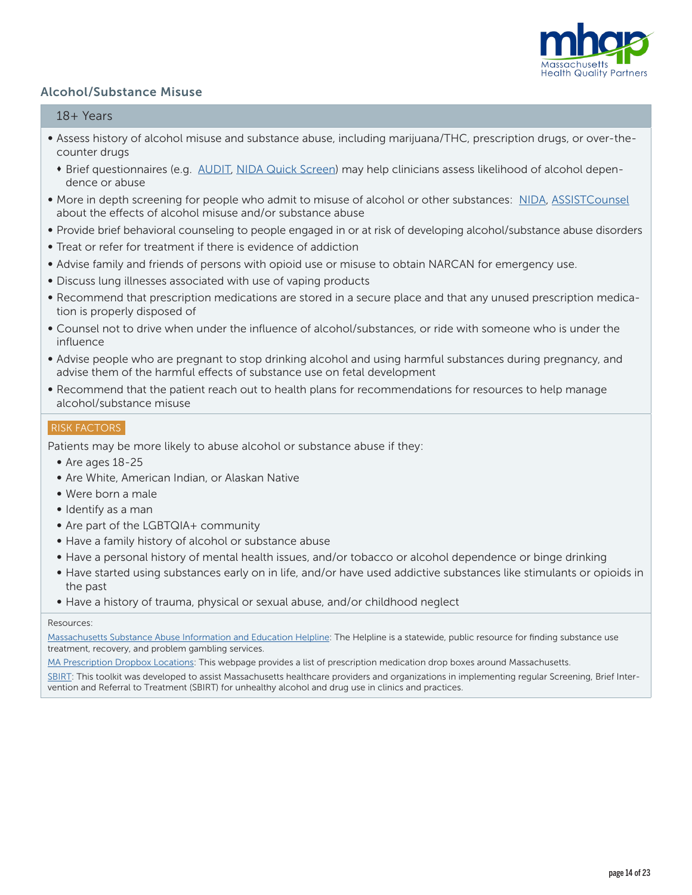

# Alcohol/Substance Misuse

#### 18+ Years

- Assess history of alcohol misuse and substance abuse, including marijuana/THC, prescription drugs, or over-thecounter drugs
	- <sup>t</sup> Brief questionnaires (e.g. [AUDIT](https://pubs.niaaa.nih.gov/publications/Audit.pdf), [NIDA Quick Screen\)](https://archives.drugabuse.gov/nmassist/) may help clinicians assess likelihood of alcohol dependence or abuse
- More in depth screening for people who admit to misuse of alcohol or other substances: [NIDA](https://www.drugabuse.gov/sites/default/files/pdf/nmassist.pdf), [ASSISTCounsel](https://www.who.int/substance_abuse/activities/assist_v3_english.pdf?ua%3D1&sa=D&ust=1605711253815000&usg=AOvVaw1zkEETPCD8ANpYXJVQVul6) about the effects of alcohol misuse and/or substance abuse
- Provide brief behavioral counseling to people engaged in or at risk of developing alcohol/substance abuse disorders
- Treat or refer for treatment if there is evidence of addiction
- Advise family and friends of persons with opioid use or misuse to obtain NARCAN for emergency use.
- Discuss lung illnesses associated with use of vaping products
- Recommend that prescription medications are stored in a secure place and that any unused prescription medication is properly disposed of
- Counsel not to drive when under the influence of alcohol/substances, or ride with someone who is under the influence
- Advise people who are pregnant to stop drinking alcohol and using harmful substances during pregnancy, and advise them of the harmful effects of substance use on fetal development
- Recommend that the patient reach out to health plans for recommendations for resources to help manage alcohol/substance misuse

#### RISK FACTORS

Patients may be more likely to abuse alcohol or substance abuse if they:

- Are ages 18-25
- Are White, American Indian, or Alaskan Native
- Were born a male
- Identify as a man
- Are part of the LGBTQIA+ community
- Have a family history of alcohol or substance abuse
- Have a personal history of mental health issues, and/or tobacco or alcohol dependence or binge drinking
- Have started using substances early on in life, and/or have used addictive substances like stimulants or opioids in the past
- Have a history of trauma, physical or sexual abuse, and/or childhood neglect

#### Resources:

[Massachusetts Substance Abuse Information and Education Helpline:](https://helplinema.org/) The Helpline is a statewide, public resource for finding substance use treatment, recovery, and problem gambling services.

[MA Prescription Dropbox Locations:](https://www.mass.gov/service-details/prescription-dropbox-locations) This webpage provides a list of prescription medication drop boxes around Massachusetts.

[SBIRT](http://www.masbirt.org/sites/www.masbirt.org/files/documents/toolkit.pdf): This toolkit was developed to assist Massachusetts healthcare providers and organizations in implementing regular Screening, Brief Intervention and Referral to Treatment (SBIRT) for unhealthy alcohol and drug use in clinics and practices.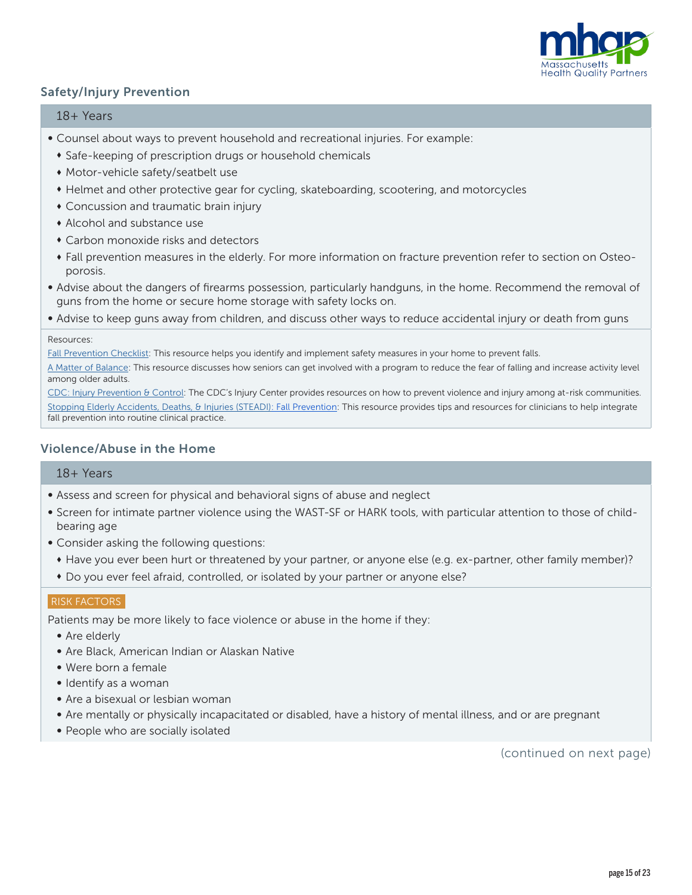

# Safety/Injury Prevention

#### 18+ Years

- Counsel about ways to prevent household and recreational injuries. For example:
	- Safe-keeping of prescription drugs or household chemicals
	- Motor-vehicle safety/seatbelt use
	- <sup>t</sup> Helmet and other protective gear for cycling, skateboarding, scootering, and motorcycles
	- Concussion and traumatic brain injury
	- Alcohol and substance use
	- $\bullet$  Carbon monoxide risks and detectors
	- Fall prevention measures in the elderly. For more information on fracture prevention refer to section on Osteoporosis.
- Advise about the dangers of firearms possession, particularly handguns, in the home. Recommend the removal of guns from the home or secure home storage with safety locks on.
- Advise to keep guns away from children, and discuss other ways to reduce accidental injury or death from guns

#### Resources:

[Fall Prevention Checklist](https://www.cdc.gov/HomeandRecreationalSafety/pubs/English/booklet_Eng_desktop-a.pdf): This resource helps you identify and implement safety measures in your home to prevent falls.

[A Matter of Balance:](https://www.ethocare.org/healthy-aging-classes/a-matter-of-balance/) This resource discusses how seniors can get involved with a program to reduce the fear of falling and increase activity level among older adults.

[CDC: Injury Prevention & Control](https://www.cdc.gov/injury/): The CDC's Injury Center provides resources on how to prevent violence and injury among at-risk communities. [Stopping Elderly Accidents, Deaths, & Injuries \(STEADI\): Fall Prevention](https://www.cdc.gov/steadi/index.html): This resource provides tips and resources for clinicians to help integrate fall prevention into routine clinical practice.

# Violence/Abuse in the Home

# 18+ Years

- Assess and screen for physical and behavioral signs of abuse and neglect
- Screen for intimate partner violence using the WAST-SF or HARK tools, with particular attention to those of childbearing age
- Consider asking the following questions:
	- Have you ever been hurt or threatened by your partner, or anyone else (e.g. ex-partner, other family member)?
	- \* Do you ever feel afraid, controlled, or isolated by your partner or anyone else?

#### RISK FACTORS

Patients may be more likely to face violence or abuse in the home if they:

- Are elderly
- Are Black, American Indian or Alaskan Native
- Were born a female
- Identify as a woman
- Are a bisexual or lesbian woman
- Are mentally or physically incapacitated or disabled, have a history of mental illness, and or are pregnant
- People who are socially isolated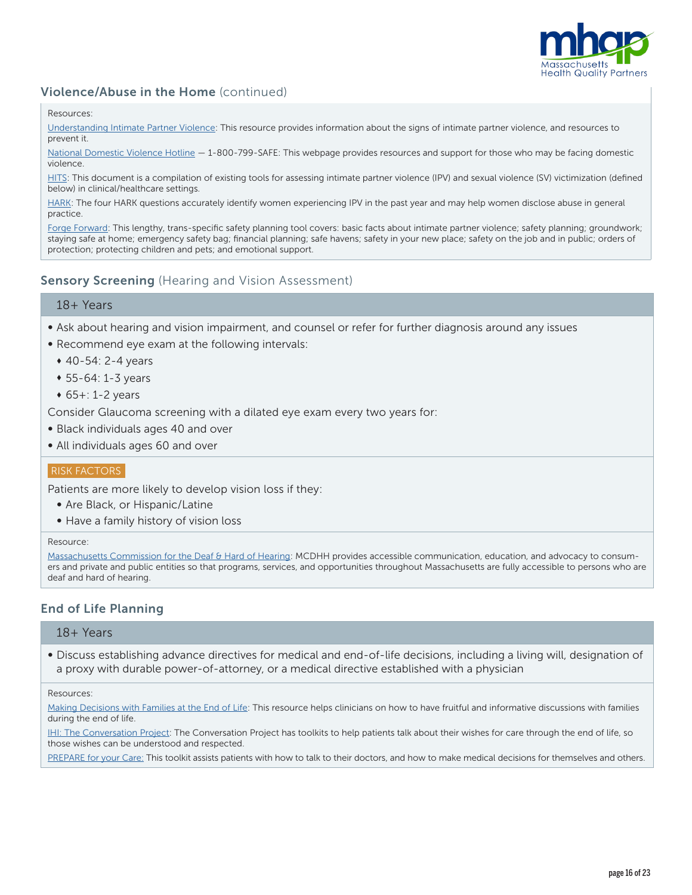

# Violence/Abuse in the Home (continued)

#### Resources:

[Understanding Intimate Partner Violence](https://www.cdc.gov/ViolencePrevention/intimatepartnerviolence/index.html): This resource provides information about the signs of intimate partner violence, and resources to prevent it.

[National Domestic Violence Hotline](https://www.thehotline.org/) — 1-800-799-SAFE: This webpage provides resources and support for those who may be facing domestic violence.

[HITS](https://www.cdc.gov/violenceprevention/pdf/ipv/ipvandsvscreening.pdf): This document is a compilation of existing tools for assessing intimate partner violence (IPV) and sexual violence (SV) victimization (defined below) in clinical/healthcare settings.

[HARK:](https://www.ncbi.nlm.nih.gov/pmc/articles/PMC2034562/table/T1/) The four HARK questions accurately identify women experiencing IPV in the past year and may help women disclose abuse in general practice.

[Forge Forward](https://forge-forward.org/resource/safety-planning-tool/): This lengthy, trans-specific safety planning tool covers: basic facts about intimate partner violence; safety planning; groundwork; staying safe at home; emergency safety bag; financial planning; safe havens; safety in your new place; safety on the job and in public; orders of protection; protecting children and pets; and emotional support.

# **Sensory Screening** (Hearing and Vision Assessment)

#### 18+ Years

- Ask about hearing and vision impairment, and counsel or refer for further diagnosis around any issues
- Recommend eye exam at the following intervals:
	- $*$  40-54: 2-4 years
	- $* 55-64: 1-3$  years
	- $\bullet$  65+: 1-2 years

Consider Glaucoma screening with a dilated eye exam every two years for:

- Black individuals ages 40 and over
- All individuals ages 60 and over

#### RISK FACTORS

Patients are more likely to develop vision loss if they:

- Are Black, or Hispanic/Latine
- Have a family history of vision loss

#### Resource:

[Massachusetts Commission for the Deaf & Hard of Hearing:](https://www.mass.gov/orgs/massachusetts-commission-for-the-deaf-and-hard-of-hearing) MCDHH provides accessible communication, education, and advocacy to consumers and private and public entities so that programs, services, and opportunities throughout Massachusetts are fully accessible to persons who are deaf and hard of hearing.

# End of Life Planning

#### 18+ Years

• Discuss establishing advance directives for medical and end-of-life decisions, including a living will, designation of a proxy with durable power-of-attorney, or a medical directive established with a physician

Resources:

[Making Decisions with Families at the End of Life](https://www.aafp.org/afp/2004/0815/p719.html): This resource helps clinicians on how to have fruitful and informative discussions with families during the end of life.

[IHI: The Conversation Project:](https://theconversationproject.org/) The Conversation Project has toolkits to help patients talk about their wishes for care through the end of life, so those wishes can be understood and respected.

[PREPARE for your Care:](https://prepareforyourcare.org/en/welcome) This toolkit assists patients with how to talk to their doctors, and how to make medical decisions for themselves and others.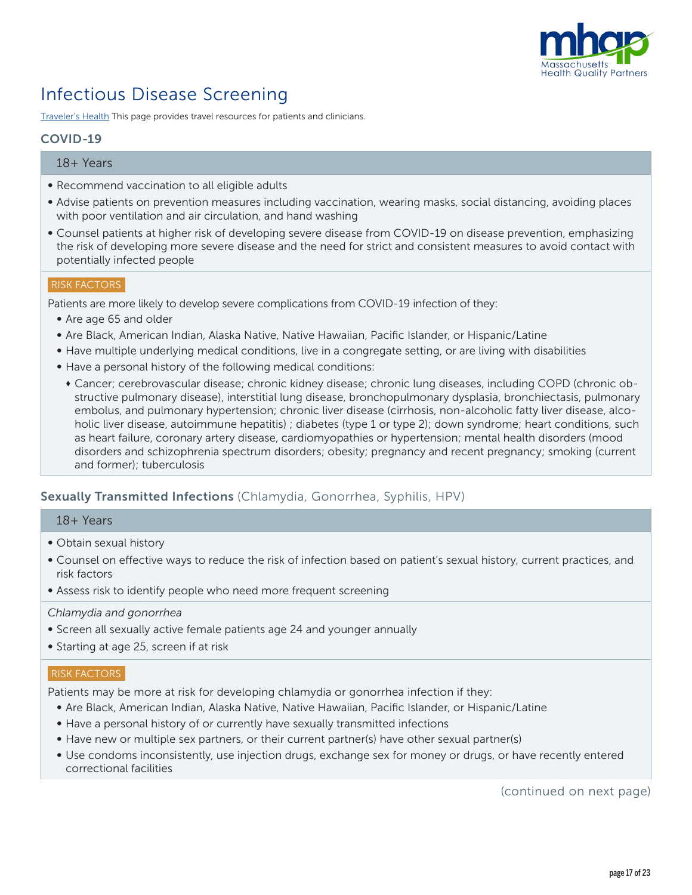

# Infectious Disease Screening

[Traveler's Health](https://wwwnc.cdc.gov/travel) This page provides travel resources for patients and clinicians.

# COVID-19

#### 18+ Years

- Recommend vaccination to all eligible adults
- Advise patients on prevention measures including vaccination, wearing masks, social distancing, avoiding places with poor ventilation and air circulation, and hand washing
- Counsel patients at higher risk of developing severe disease from COVID-19 on disease prevention, emphasizing the risk of developing more severe disease and the need for strict and consistent measures to avoid contact with potentially infected people

#### RISK FACTORS

Patients are more likely to develop severe complications from COVID-19 infection of they:

- Are age 65 and older
- Are Black, American Indian, Alaska Native, Native Hawaiian, Pacific Islander, or Hispanic/Latine
- Have multiple underlying medical conditions, live in a congregate setting, or are living with disabilities
- Have a personal history of the following medical conditions:
	- <sup>t</sup> Cancer; cerebrovascular disease; chronic kidney disease; chronic lung diseases, including COPD (chronic obstructive pulmonary disease), interstitial lung disease, bronchopulmonary dysplasia, bronchiectasis, pulmonary embolus, and pulmonary hypertension; chronic liver disease (cirrhosis, non-alcoholic fatty liver disease, alcoholic liver disease, autoimmune hepatitis) ; diabetes (type 1 or type 2); down syndrome; heart conditions, such as heart failure, coronary artery disease, cardiomyopathies or hypertension; mental health disorders (mood disorders and schizophrenia spectrum disorders; obesity; pregnancy and recent pregnancy; smoking (current and former); tuberculosis

# Sexually Transmitted Infections (Chlamydia, Gonorrhea, Syphilis, HPV)

#### 18+ Years

- Obtain sexual history
- Counsel on effective ways to reduce the risk of infection based on patient's sexual history, current practices, and risk factors
- Assess risk to identify people who need more frequent screening

#### *Chlamydia and gonorrhea*

- Screen all sexually active female patients age 24 and younger annually
- Starting at age 25, screen if at risk

#### RISK FACTORS

Patients may be more at risk for developing chlamydia or gonorrhea infection if they:

- Are Black, American Indian, Alaska Native, Native Hawaiian, Pacific Islander, or Hispanic/Latine
- Have a personal history of or currently have sexually transmitted infections
- Have new or multiple sex partners, or their current partner(s) have other sexual partner(s)
- Use condoms inconsistently, use injection drugs, exchange sex for money or drugs, or have recently entered correctional facilities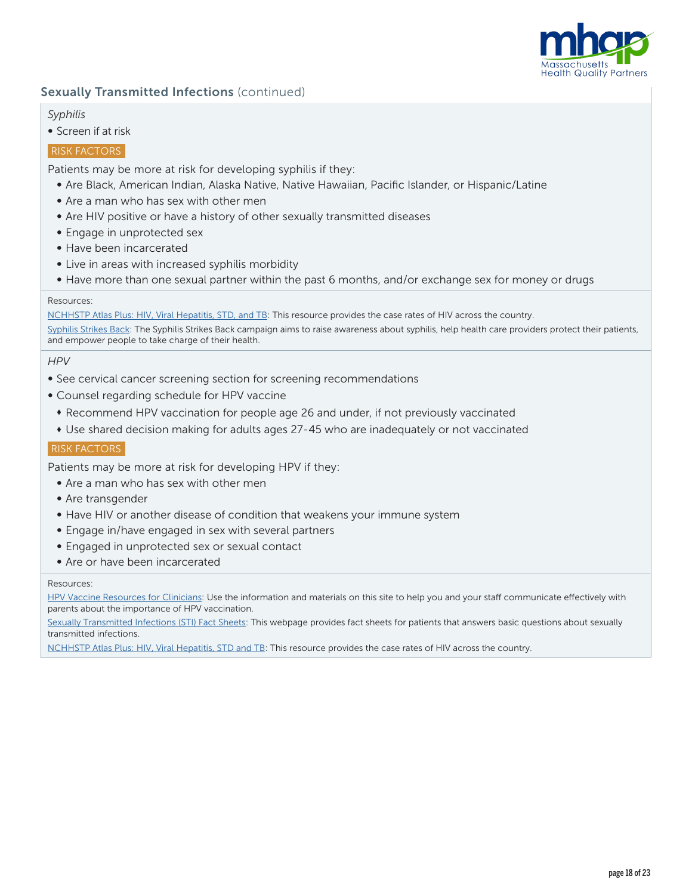

# Sexually Transmitted Infections (continued)

#### *Syphilis*

• Screen if at risk

# **RISK FACTORS**

Patients may be more at risk for developing syphilis if they:

- Are Black, American Indian, Alaska Native, Native Hawaiian, Pacific Islander, or Hispanic/Latine
- Are a man who has sex with other men
- Are HIV positive or have a history of other sexually transmitted diseases
- Engage in unprotected sex
- Have been incarcerated
- Live in areas with increased syphilis morbidity
- Have more than one sexual partner within the past 6 months, and/or exchange sex for money or drugs

#### Resources:

[NCHHSTP Atlas Plus: HIV, Viral Hepatitis, STD, and TB:](https://gis.cdc.gov/grasp/nchhstpatlas/maps.html) This resource provides the case rates of HIV across the country. [Syphilis Strikes Back:](https://www.cdc.gov/std/saw/syphilisstrikesback/default.htm) The Syphilis Strikes Back campaign aims to raise awareness about syphilis, help health care providers protect their patients, and empower people to take charge of their health.

#### *HPV*

- See cervical cancer screening section for screening recommendations
- Counsel regarding schedule for HPV vaccine
	- Recommend HPV vaccination for people age 26 and under, if not previously vaccinated
	- \* Use shared decision making for adults ages 27-45 who are inadequately or not vaccinated

#### RISK FACTORS

Patients may be more at risk for developing HPV if they:

- Are a man who has sex with other men
- Are transgender
- Have HIV or another disease of condition that weakens your immune system
- Engage in/have engaged in sex with several partners
- Engaged in unprotected sex or sexual contact
- Are or have been incarcerated

#### Resources:

[HPV Vaccine Resources for Clinicians:](https://www.cdc.gov/hpv/hcp/index.html) Use the information and materials on this site to help you and your staff communicate effectively with parents about the importance of HPV vaccination.

[Sexually Transmitted Infections \(STI\) Fact Sheets](https://www.cdc.gov/std/healthcomm/fact_sheets.htm): This webpage provides fact sheets for patients that answers basic questions about sexually transmitted infections.

[NCHHSTP Atlas Plus: HIV, Viral Hepatitis, STD and TB:](https://gis.cdc.gov/grasp/nchhstpatlas/maps.html) This resource provides the case rates of HIV across the country.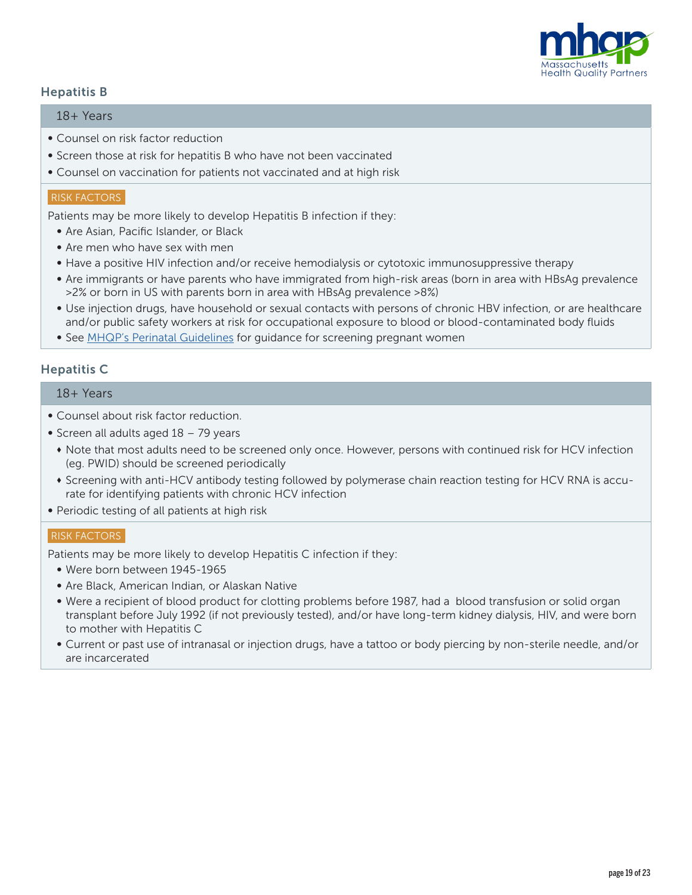

# Hepatitis B

#### 18+ Years

- Counsel on risk factor reduction
- Screen those at risk for hepatitis B who have not been vaccinated
- Counsel on vaccination for patients not vaccinated and at high risk

#### RISK FACTORS

Patients may be more likely to develop Hepatitis B infection if they:

- Are Asian, Pacific Islander, or Black
- Are men who have sex with men
- Have a positive HIV infection and/or receive hemodialysis or cytotoxic immunosuppressive therapy
- Are immigrants or have parents who have immigrated from high-risk areas (born in area with HBsAg prevalence >2% or born in US with parents born in area with HBsAg prevalence >8%)
- Use injection drugs, have household or sexual contacts with persons of chronic HBV infection, or are healthcare and/or public safety workers at risk for occupational exposure to blood or blood-contaminated body fluids
- See [MHQP's Perinatal Guidelines](https://www.mhqp.org/resources/clinical-guidelines/) for guidance for screening pregnant women

# Hepatitis C

# 18+ Years

- Counsel about risk factor reduction.
- Screen all adults aged 18 79 years
	- Note that most adults need to be screened only once. However, persons with continued risk for HCV infection (eg. PWID) should be screened periodically
	- Screening with anti-HCV antibody testing followed by polymerase chain reaction testing for HCV RNA is accurate for identifying patients with chronic HCV infection
- Periodic testing of all patients at high risk

# RISK FACTORS

Patients may be more likely to develop Hepatitis C infection if they:

- Were born between 1945-1965
- Are Black, American Indian, or Alaskan Native
- Were a recipient of blood product for clotting problems before 1987, had a blood transfusion or solid organ transplant before July 1992 (if not previously tested), and/or have long-term kidney dialysis, HIV, and were born to mother with Hepatitis C
- Current or past use of intranasal or injection drugs, have a tattoo or body piercing by non-sterile needle, and/or are incarcerated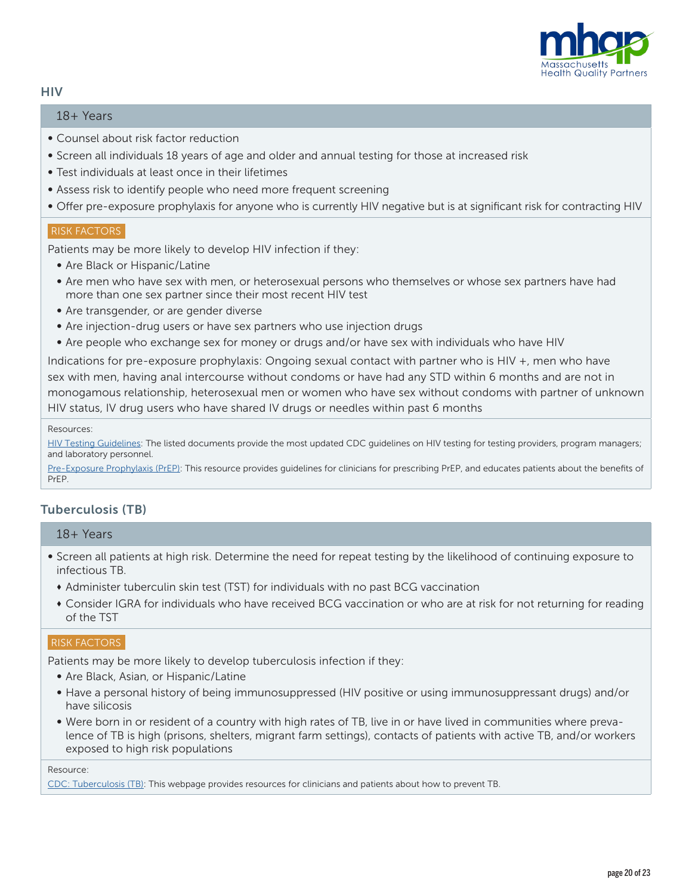

# **HIV**

### 18+ Years

- Counsel about risk factor reduction
- Screen all individuals 18 years of age and older and annual testing for those at increased risk
- Test individuals at least once in their lifetimes
- Assess risk to identify people who need more frequent screening
- Offer pre-exposure prophylaxis for anyone who is currently HIV negative but is at significant risk for contracting HIV

#### RISK FACTORS

Patients may be more likely to develop HIV infection if they:

- Are Black or Hispanic/Latine
- Are men who have sex with men, or heterosexual persons who themselves or whose sex partners have had more than one sex partner since their most recent HIV test
- Are transgender, or are gender diverse
- Are injection-drug users or have sex partners who use injection drugs
- Are people who exchange sex for money or drugs and/or have sex with individuals who have HIV

Indications for pre-exposure prophylaxis: Ongoing sexual contact with partner who is HIV +, men who have sex with men, having anal intercourse without condoms or have had any STD within 6 months and are not in monogamous relationship, heterosexual men or women who have sex without condoms with partner of unknown HIV status, IV drug users who have shared IV drugs or needles within past 6 months

#### Resources:

[HIV Testing Guidelines](https://www.cdc.gov/hiv/guidelines/testing.html): The listed documents provide the most updated CDC guidelines on HIV testing for testing providers, program managers; and laboratory personnel.

[Pre-Exposure Prophylaxis \(PrEP\)](https://www.cdc.gov/hiv/risk/prep/): This resource provides guidelines for clinicians for prescribing PrEP, and educates patients about the benefits of PrEP.

# Tuberculosis (TB)

# 18+ Years

- Screen all patients at high risk. Determine the need for repeat testing by the likelihood of continuing exposure to infectious TB.
	- Administer tuberculin skin test (TST) for individuals with no past BCG vaccination
	- Consider IGRA for individuals who have received BCG vaccination or who are at risk for not returning for reading of the TST

#### RISK FACTORS

Patients may be more likely to develop tuberculosis infection if they:

- Are Black, Asian, or Hispanic/Latine
- Have a personal history of being immunosuppressed (HIV positive or using immunosuppressant drugs) and/or have silicosis
- Were born in or resident of a country with high rates of TB, live in or have lived in communities where prevalence of TB is high (prisons, shelters, migrant farm settings), contacts of patients with active TB, and/or workers exposed to high risk populations

Resource:

[CDC: Tuberculosis \(TB\)](https://www.cdc.gov/tb/): This webpage provides resources for clinicians and patients about how to prevent TB.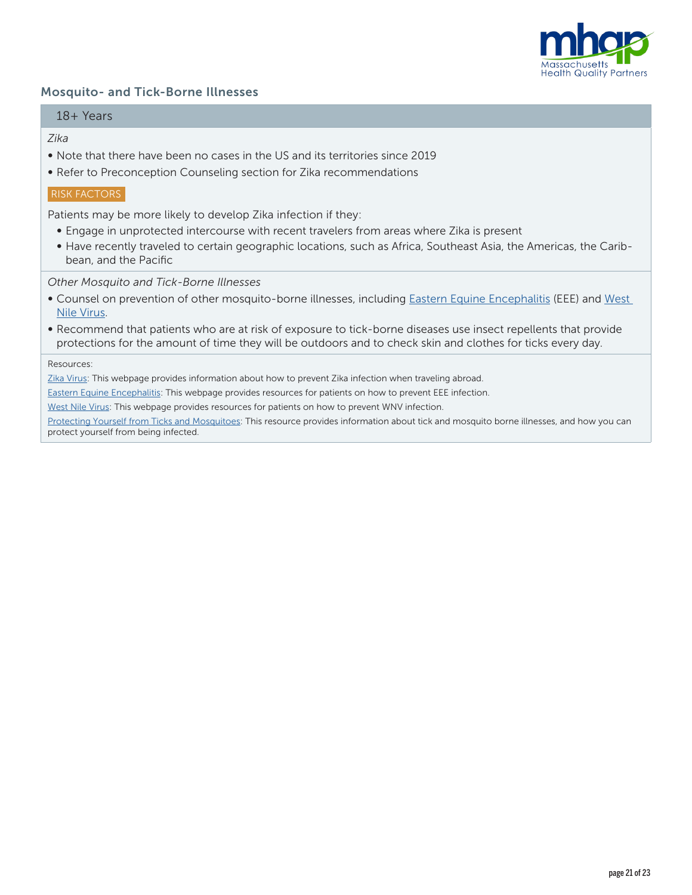

# Mosquito- and Tick-Borne Illnesses

#### 18+ Years

#### *Zika*

- Note that there have been no cases in the US and its territories since 2019
- Refer to Preconception Counseling section for Zika recommendations

#### RISK FACTORS

Patients may be more likely to develop Zika infection if they:

- Engage in unprotected intercourse with recent travelers from areas where Zika is present
- Have recently traveled to certain geographic locations, such as Africa, Southeast Asia, the Americas, the Caribbean, and the Pacific

#### *Other Mosquito and Tick-Borne Illnesses*

- Counsel on prevention of other mosquito-borne illnesses, including [Eastern Equine Encephalitis](https://www.cdc.gov/easternequineencephalitis/gen/pre.html) (EEE) and [West](https://www.cdc.gov/westnile/prevention/index.html)  [Nile Virus](https://www.cdc.gov/westnile/prevention/index.html).
- Recommend that patients who are at risk of exposure to tick-borne diseases use insect repellents that provide protections for the amount of time they will be outdoors and to check skin and clothes for ticks every day.

#### Resources:

[Zika Virus:](https://www.cdc.gov/zika/) This webpage provides information about how to prevent Zika infection when traveling abroad.

[Eastern Equine Encephalitis](https://www.cdc.gov/easternequineencephalitis/prevention/index.html?CDC_AA_refVal=https%3A%2F%2Fwww.cdc.gov%2Feasternequineencephalitis%2Fgen%2Fpre.html): This webpage provides resources for patients on how to prevent EEE infection.

[West Nile Virus:](https://www.cdc.gov/westnile/prevention/index.html) This webpage provides resources for patients on how to prevent WNV infection.

[Protecting Yourself from Ticks and Mosquitoes:](https://www.cdc.gov/niosh/docs/2010-119/pdfs/2010-119.pdf) This resource provides information about tick and mosquito borne illnesses, and how you can protect yourself from being infected.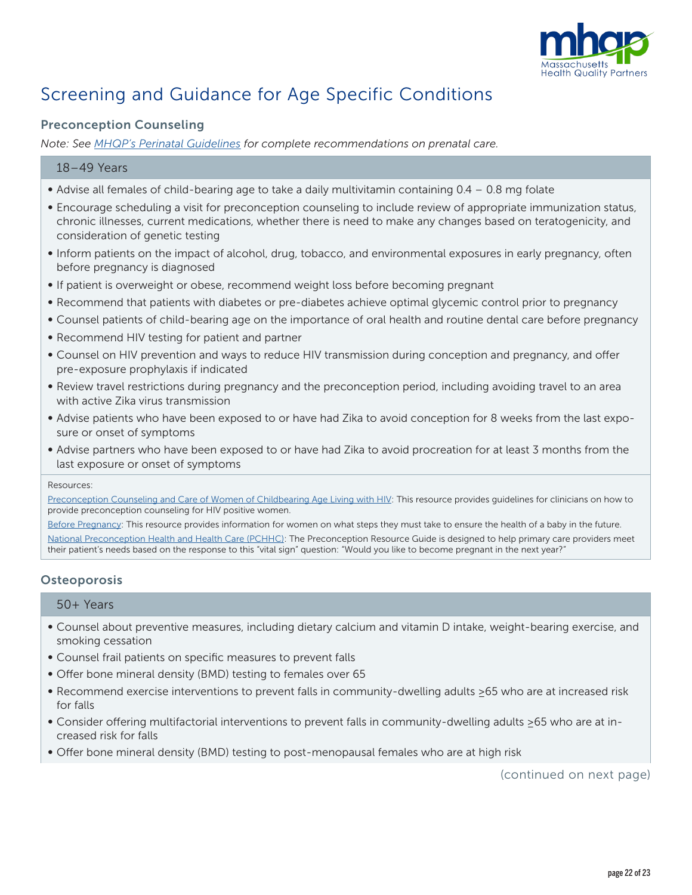

# Screening and Guidance for Age Specific Conditions

# Preconception Counseling

*Note: See [MHQP's Perinatal Guidelines](https://www.mhqp.org/resources/clinical-guidelines/) for complete recommendations on prenatal care.*

# 18–49 Years

- Advise all females of child-bearing age to take a daily multivitamin containing 0.4 0.8 mg folate
- Encourage scheduling a visit for preconception counseling to include review of appropriate immunization status, chronic illnesses, current medications, whether there is need to make any changes based on teratogenicity, and consideration of genetic testing
- Inform patients on the impact of alcohol, drug, tobacco, and environmental exposures in early pregnancy, often before pregnancy is diagnosed
- If patient is overweight or obese, recommend weight loss before becoming pregnant
- Recommend that patients with diabetes or pre-diabetes achieve optimal glycemic control prior to pregnancy
- Counsel patients of child-bearing age on the importance of oral health and routine dental care before pregnancy
- Recommend HIV testing for patient and partner
- Counsel on HIV prevention and ways to reduce HIV transmission during conception and pregnancy, and offer pre-exposure prophylaxis if indicated
- Review travel restrictions during pregnancy and the preconception period, including avoiding travel to an area with active Zika virus transmission
- Advise patients who have been exposed to or have had Zika to avoid conception for 8 weeks from the last exposure or onset of symptoms
- Advise partners who have been exposed to or have had Zika to avoid procreation for at least 3 months from the last exposure or onset of symptoms

Resources:

[Preconception Counseling and Care of Women of Childbearing Age Living with HIV](https://clinicalinfo.hiv.gov/sites/default/files/guidelines/documents/Preconception_Counseling_and_Care.pdf): This resource provides guidelines for clinicians on how to provide preconception counseling for HIV positive women.

[Before Pregnancy](https://www.cdc.gov/preconception/index.html): This resource provides information for women on what steps they must take to ensure the health of a baby in the future. [National Preconception Health and Health Care \(PCHHC\)](https://beforeandbeyond.org/toolkit/): The Preconception Resource Guide is designed to help primary care providers meet their patient's needs based on the response to this "vital sign" question: "Would you like to become pregnant in the next year?"

# **Osteoporosis**

50+ Years

- Counsel about preventive measures, including dietary calcium and vitamin D intake, weight-bearing exercise, and smoking cessation
- Counsel frail patients on specific measures to prevent falls
- Offer bone mineral density (BMD) testing to females over 65
- Recommend exercise interventions to prevent falls in community-dwelling adults ≥65 who are at increased risk for falls
- Consider offering multifactorial interventions to prevent falls in community-dwelling adults ≥65 who are at increased risk for falls
- Offer bone mineral density (BMD) testing to post-menopausal females who are at high risk